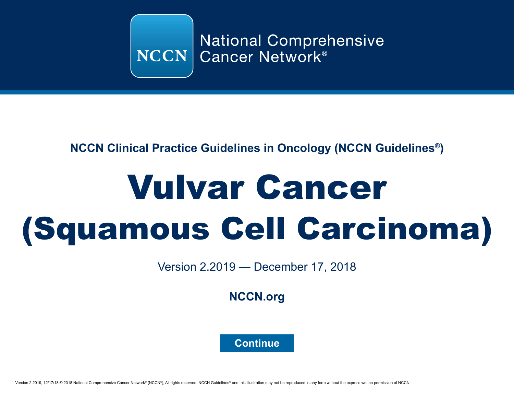

# **NCCN Clinical Practice Guidelines in Oncology (NCCN Guidelines®)**

# Vulvar Cancer (Squamous Cell Carcinoma)

Version 2.2019 — December 17, 2018

**[NCCN.org](http://www.nccn.org/)**

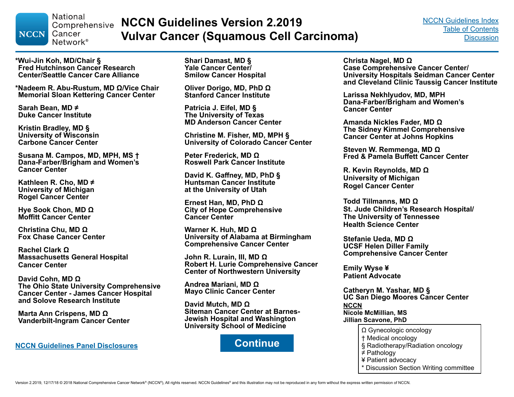<span id="page-1-0"></span>**National** Comprehensive **NCCN** Cancer Network<sup>®</sup>

**NCCN Guidelines Version 2.2019 Vulvar Cancer (Squamous Cell Carcinoma)**

**\*Wui-Jin Koh, MD/Chair § Fred Hutchinson Cancer Research Center/Seattle Cancer Care Alliance**

**\*Nadeem R. Abu-Rustum, MD Ω/Vice Chair Memorial Sloan Kettering Cancer Center**

**Sarah Bean, MD ≠ Duke Cancer Institute**

**Kristin Bradley, MD § University of Wisconsin Carbone Cancer Center**

**Susana M. Campos, MD, MPH, MS † Dana-Farber/Brigham and Women's Cancer Center** 

**Kathleen R. Cho, MD ≠ University of Michigan Rogel Cancer Center**

**Hye Sook Chon, MD Ω Moffitt Cancer Center**

**Christina Chu, MD Ω Fox Chase Cancer Center**

**Rachel Clark Ω Massachusetts General Hospital Cancer Center**

**David Cohn, MD Ω The Ohio State University Comprehensive Cancer Center - James Cancer Hospital and Solove Research Institute**

**Marta Ann Crispens, MD Ω Vanderbilt-Ingram Cancer Center**

**[NCCN Guidelines Panel Disclosures](http://www.nccn.org/disclosures/PanelDisclosureList.aspx?MeetingId=0&GroupId=603) CONTINUE** 

**Shari Damast, MD § Yale Cancer Center/ Smilow Cancer Hospital**

**Oliver Dorigo, MD, PhD Ω Stanford Cancer Institute**

**Patricia J. Eifel, MD § The University of Texas MD Anderson Cancer Center**

**Christine M. Fisher, MD, MPH § University of Colorado Cancer Center**

**Peter Frederick, MD Ω Roswell Park Cancer Institute**

**David K. Gaffney, MD, PhD § Huntsman Cancer Institute at the University of Utah**

**Ernest Han, MD, PhD Ω City of Hope Comprehensive Cancer Center**

**Warner K. Huh, MD Ω University of Alabama at Birmingham Comprehensive Cancer Center**

**John R. Lurain, III, MD Ω Robert H. Lurie Comprehensive Cancer Center of Northwestern University**

**Andrea Mariani, MD Ω Mayo Clinic Cancer Center**

**David Mutch, MD Ω Siteman Cancer Center at Barnes-Jewish Hospital and Washington University School of Medicine**



**Christa Nagel, MD Ω**

**Case Comprehensive Cancer Center/ University Hospitals Seidman Cancer Center and Cleveland Clinic Taussig Cancer Institute**

**Larissa Nekhlyudov, MD, MPH Dana-Farber/Brigham and Women's Cancer Center**

**Amanda Nickles Fader, MD Ω The Sidney Kimmel Comprehensive Cancer Center at Johns Hopkins**

**Steven W. Remmenga, MD Ω Fred & Pamela Buffett Cancer Center**

**R. Kevin Reynolds, MD Ω University of Michigan Rogel Cancer Center**

**Todd Tillmanns, MD Ω St. Jude Children's Research Hospital/ The University of Tennessee Health Science Center**

**Stefanie Ueda, MD Ω UCSF Helen Diller Family Comprehensive Cancer Center**

**Emily Wyse ¥ Patient Advocate**

**NCCN Nicole McMillian, MS Jillian Scavone, PhD Catheryn M. Yashar, MD § UC San Diego Moores Cancer Center**

- Ω Gynecologic oncology
- † Medical oncology
- § Radiotherapy/Radiation oncology
- ≠ Pathology
- ¥ Patient advocacy
- \* Discussion Section Writing committee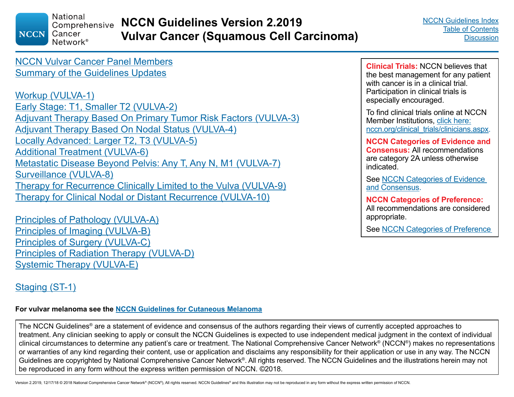<span id="page-2-0"></span>**National** Comprehensive **NCCN** Cancer Network<sup>®</sup>

**NCCN Guidelines Version 2.2019 Vulvar Cancer (Squamous Cell Carcinoma)**

[NCCN Vulvar Cancer Panel Members](#page-1-0) [Summary of the Guidelines Updates](#page-3-0)

[Workup \(VULVA-1\)](#page-5-0) [Early Stage: T1, Smaller T2 \(VULVA-2\)](#page-6-0) [Adjuvant Therapy Based On Primary Tumor Risk Factors \(VULVA-3\)](#page-7-0) [Adjuvant Therapy Based On Nodal Status \(VULVA-4\)](#page-8-0) [Locally Advanced: Larger T2, T3 \(VULVA-5\)](#page-9-0) [Additional Treatment \(VULVA-6\)](#page-10-0) [Metastatic Disease Beyond Pelvis: Any T, Any N, M1 \(VULVA-7\)](#page-11-0) [Surveillance \(VULVA-8\)](#page-12-0) [Therapy for Recurrence Clinically Limited to the Vulva \(VULVA-9\)](#page-13-0) [Therapy for Clinical Nodal or Distant Recurrence \(VULVA-10\)](#page-14-0)

[Principles of Pathology \(VULVA-A\)](#page-15-0) [Principles of Imaging \(VULVA-B\)](#page-16-0) [Principles of Surgery \(VULVA-C\)](#page-17-0) [Principles of Radiation Therapy \(VULVA-D\)](#page-21-0) [Systemic Therapy \(VULVA-E\)](#page-26-0)

## [Staging \(ST-1\)](#page-27-0)

#### **For vulvar melanoma see the [NCCN Guidelines for Cutaneous Melanoma](https://www.nccn.org/professionals/physician_gls/pdf/cutaneous_melanoma.pdf)**

The NCCN Guidelines® are a statement of evidence and consensus of the authors regarding their views of currently accepted approaches to treatment. Any clinician seeking to apply or consult the NCCN Guidelines is expected to use independent medical judgment in the context of individual clinical circumstances to determine any patient's care or treatment. The National Comprehensive Cancer Network® (NCCN®) makes no representations or warranties of any kind regarding their content, use or application and disclaims any responsibility for their application or use in any way. The NCCN Guidelines are copyrighted by National Comprehensive Cancer Network®. All rights reserved. The NCCN Guidelines and the illustrations herein may not be reproduced in any form without the express written permission of NCCN. ©2018.

**Clinical Trials:** NCCN believes that the best management for any patient with cancer is in a clinical trial. Participation in clinical trials is especially encouraged.

To find clinical trials online at NCCN Member Institutions, [click here:](http://www.nccn.org/clinical_trials/clinicians.aspx) [nccn.org/clinical\\_trials/clinicians.aspx.](http://www.nccn.org/clinical_trials/clinicians.aspx)

**NCCN Categories of Evidence and Consensus:** All recommendations are category 2A unless otherwise indicated.

See [NCCN Categories of Evidence](#page-29-0)  [and Consensus](#page-29-0).

**NCCN Categories of Preference:** All recommendations are considered appropriate.

See [NCCN Categories of Preference](#page-29-0)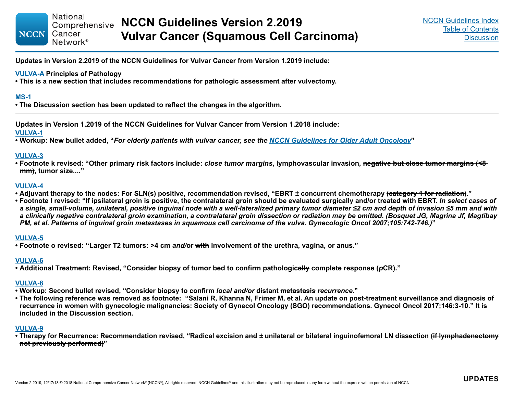**Updates in Version 2.2019 of the NCCN Guidelines for Vulvar Cancer from Version 1.2019 include:**

#### **[VULVA-A](#page-15-0) Principles of Pathology**

**• This is a new section that includes recommendations for pathologic assessment after vulvectomy.** 

#### **[MS-1](#page-29-0)**

<span id="page-3-0"></span>**NCCN** 

**• The Discussion section has been updated to reflect the changes in the algorithm.**

**Updates in Version 1.2019 of the NCCN Guidelines for Vulvar Cancer from Version 1.2018 include:**

#### **[VULVA-1](#page-5-0)**

**• Workup: New bullet added, "***For elderly patients with vulvar cancer, see the [NCCN Guidelines for Older Adult Oncology](https://www.nccn.org/professionals/physician_gls/pdf/senior.pdf)***"**

#### **[VULVA-3](#page-7-0)**

**• Footnote k revised: "Other primary risk factors include:** *close tumor margins***, lymphovascular invasion, negative but close tumor margins (<8 mm), tumor size...."**

#### **[VULVA-4](#page-8-0)**

- **Adjuvant therapy to the nodes: For SLN(s) positive, recommendation revised, "EBRT ± concurrent chemotherapy (category 1 for radiation)."**
- **Footnote l revised: "If ipsilateral groin is positive, the contralateral groin should be evaluated surgically and/or treated with EBRT.** *In select cases of a single, small-volume, unilateral, positive inguinal node with a well-lateralized primary tumor diameter ≤2 cm and depth of invasion ≤5 mm and with a clinically negative contralateral groin examination, a contralateral groin dissection or radiation may be omitted. (Bosquet JG, Magrina Jf, Magtibay PM, et al. Patterns of inguinal groin metastases in squamous cell carcinoma of the vulva. Gynecologic Oncol 2007;105:742-746.)***"**

#### **[VULVA-5](#page-9-0)**

**• Footnote o revised: "Larger T2 tumors: >4 cm** *and/***or with involvement of the urethra, vagina, or anus."**

#### **[VULVA-6](#page-10-0)**

**• Additional Treatment: Revised, "Consider biopsy of tumor bed to confirm pathologically complete response (***p***CR)."**

#### **[VULVA-8](#page-12-0)**

- **Workup: Second bullet revised, "Consider biopsy to confirm** *local and/or* **distant metastasis** *recurrence.***"**
- **The following reference was removed as footnote: "Salani R, Khanna N, Frimer M, et al. An update on post-treatment surveillance and diagnosis of recurrence in women with gynecologic malignancies: Society of Gynecol Oncology (SGO) recommendations. Gynecol Oncol 2017;146:3-10." It is included in the Discussion section.**

#### **[VULVA-9](#page-13-0)**

**• Therapy for Recurrence: Recommendation revised, "Radical excision and** *±* **unilateral or bilateral inguinofemoral LN dissection (if lymphadenectomy not previously performed)"**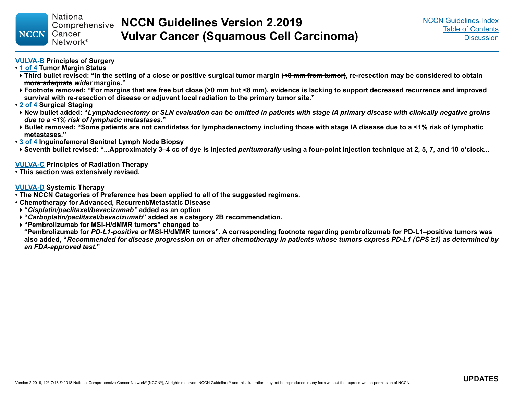#### **[VULVA-B](#page-17-0) Principles of Surgery**

- **[1 of 4](#page-17-0) Tumor Margin Status**
- **Third bullet revised: "In the setting of a close or positive surgical tumor margin (<8 mm from tumor), re-resection may be considered to obtain more adequate** *wider* **margins."**
- **Footnote removed: "For margins that are free but close (>0 mm but <8 mm), evidence is lacking to support decreased recurrence and improved survival with re-resection of disease or adjuvant local radiation to the primary tumor site."**
- **[2 of 4](#page-18-0) Surgical Staging**
- **New bullet added: "***Lymphadenectomy or SLN evaluation can be omitted in patients with stage IA primary disease with clinically negative groins due to a <1% risk of lymphatic metastases***."**
- **Bullet removed: "Some patients are not candidates for lymphadenectomy including those with stage IA disease due to a <1% risk of lymphatic metastases."**
- **[3 of 4](#page-19-0) Inguinofemoral Senitnel Lymph Node Biopsy**
- **Seventh bullet revised: "...Approximately 3–4 cc of dye is injected** *peritumorally* **using a four-point injection technique at 2, 5, 7, and 10 o'clock...**

#### **[VULVA-C](#page-21-0) Principles of Radiation Therapy**

**• This section was extensively revised.**

#### **[VULVA-D](#page-26-0) Systemic Therapy**

- **The NCCN Categories of Preference has been applied to all of the suggested regimens.**
- **Chemotherapy for Advanced, Recurrent/Metastatic Disease**
- **"***Cisplatin/paclitaxel/bevacizumab"* **added as an option**
- **"***Carboplatin/paclitaxel/bevacizumab***" added as a category 2B recommendation.**
- **"Pembrolizumab for MSI-H/dMMR tumors" changed to**

**"Pembrolizumab for** *PD-L1-positive or* **MSI-H/dMMR tumors". A corresponding footnote regarding pembrolizumab for PD-L1–positive tumors was also added, "***Recommended for disease progression on or after chemotherapy in patients whose tumors express PD-L1 (CPS ≥1) as determined by an FDA-approved test***."**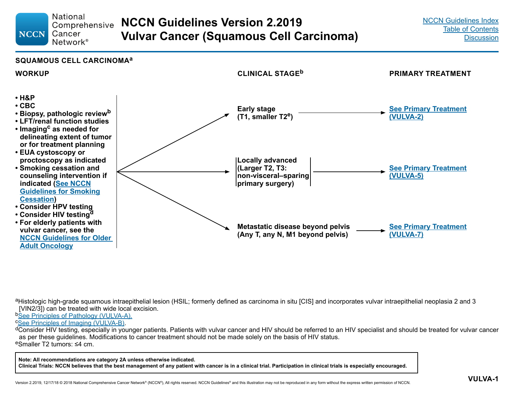#### **National NCCN Guidelines Version 2.2019** Comprehensive Cancer **Vulvar Cancer (Squamous Cell Carcinoma)** Network<sup>®</sup>

#### **SQUAMOUS CELL CARCINOMA<sup>a</sup>**

<span id="page-5-0"></span>**NCCN** 



aHistologic high-grade squamous intraepithelial lesion (HSIL; formerly defined as carcinoma in situ [CIS] and incorporates vulvar intraepithelial neoplasia 2 and 3 [VIN2/3]) can be treated with wide local excision.

**b[See Principles of Pathology \(VULVA-A\)](#page-15-0).**<br> **CSee Principles of Imaging (VULVA-B).** 

<sup>d</sup>Consider HIV testing, especially in younger patients. Patients with vulvar cancer and HIV should be referred to an HIV specialist and should be treated for vulvar cancer as per these guidelines. Modifications to cancer treatment should not be made solely on the basis of HIV status. <sup>e</sup>Smaller T2 tumors: ≤4 cm.

**Note: All recommendations are category 2A unless otherwise indicated.**

**Clinical Trials: NCCN believes that the best management of any patient with cancer is in a clinical trial. Participation in clinical trials is especially encouraged.**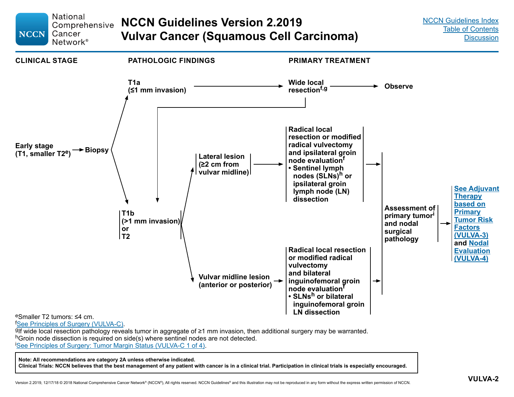<span id="page-6-0"></span>

**Note: All recommendations are category 2A unless otherwise indicated. Clinical Trials: NCCN believes that the best management of any patient with cancer is in a clinical trial. Participation in clinical trials is especially encouraged.**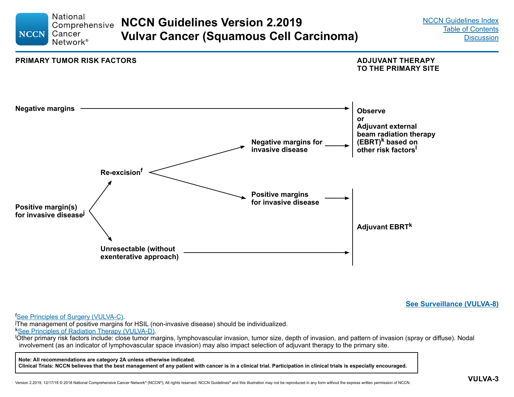<span id="page-7-0"></span>

**[See Surveillance \(VULVA-8\)](#page-12-0)**

<sup>f</sup>See Principles of Surgery (VULVA-C).

<sup>t</sup>See Principles of Surgery (VULVA-C)[.](#page-17-0)<br><sup>j</sup>The management of positive margins for HSIL (non-invasive disease) should be individualized.

kSee Principles of Radiation Therapy (VULVA-D).

Other primary risk factors include: close tumor margins, lymphovascular invasion, tumor size, depth of invasion, and pattern of invasion (spray or diffuse). Nodal involvement (as an indicator of lymphovascular space invasion) may also impact selection of adjuvant therapy to the primary site.

**Note: All recommendations are category 2A unless otherwise indicated.**

**Clinical Trials: NCCN believes that the best management of any patient with cancer is in a clinical trial. Participation in clinical trials is especially encouraged.**

Version 2.2019, 12/17/18 © 2018 National Comprehensive Cancer Network® (NCCN®), All rights reserved. NCCN Guidelines® and this illustration may not be reproduced in any form without the express written permission of NCCN.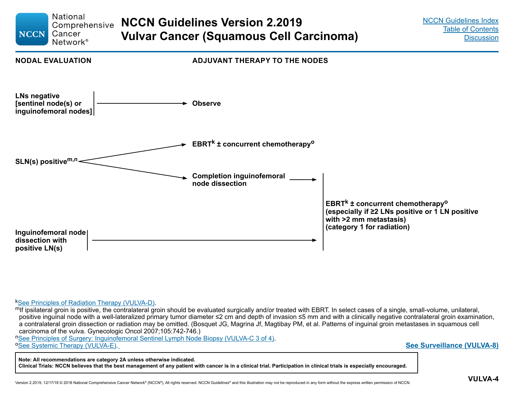<span id="page-8-0"></span>

 $k$ See Principles of Radiation Therapy (VULVA-D).<br>In if ipsilateral groin is positive, the contralateral groin should be evaluated surgically and/or treated with EBRT. In select cases of a single, small-volume, unilateral positive inguinal node with a well-lateralized primary tumor diameter ≤2 cm and depth of invasion ≤5 mm and with a clinically negative contralateral groin examination, a contralateral groin dissection or radiation may be omitted. (Bosquet JG, Magrina Jf, Magtibay PM, et al. Patterns of inguinal groin metastases in squamous cell carcinoma of the vulva. Gynecologic Oncol 2007;105:742-746.)

n[See Principles of Surgery: Inguinofemoral Sentinel Lymph Node Biopsy \(VULVA-C 3 of 4\)](#page-19-0).<br>
<sup>o</sup>[See Systemic Therapy \(VULVA-E\).](#page-26-0)

**Note: All recommendations are category 2A unless otherwise indicated.**

**Clinical Trials: NCCN believes that the best management of any patient with cancer is in a clinical trial. Participation in clinical trials is especially encouraged.**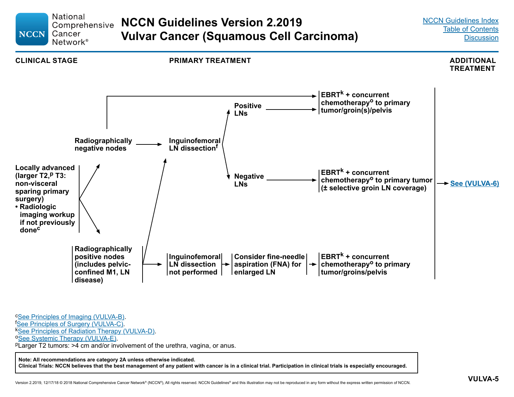<span id="page-9-0"></span>

**Note: All recommendations are category 2A unless otherwise indicated.**

**Clinical Trials: NCCN believes that the best management of any patient with cancer is in a clinical trial. Participation in clinical trials is especially encouraged.**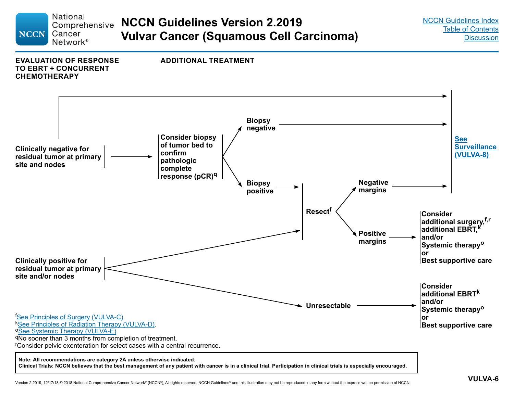<span id="page-10-0"></span>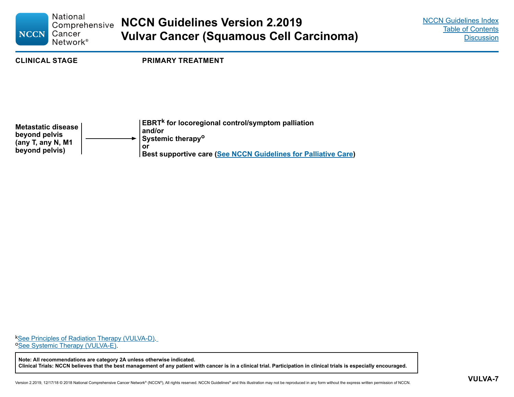<span id="page-11-0"></span>

| <b>NCCN</b>                                                                       | <b>National</b><br>Comprehensive<br>Cancer<br>Network <sup>®</sup> | <b>NCCN Guidelines Version 2.2019</b><br><b>Vulvar Cancer (Squamous Cell Carcinoma)</b>                                                                                                 | <b>NCCN Guidelines Index</b><br><b>Table of Contents</b><br><b>Discussion</b> |
|-----------------------------------------------------------------------------------|--------------------------------------------------------------------|-----------------------------------------------------------------------------------------------------------------------------------------------------------------------------------------|-------------------------------------------------------------------------------|
| <b>CLINICAL STAGE</b>                                                             |                                                                    | <b>PRIMARY TREATMENT</b>                                                                                                                                                                |                                                                               |
| <b>Metastatic disease</b><br>beyond pelvis<br>(any T, any N, M1<br>beyond pelvis) |                                                                    | EBRT <sup>k</sup> for locoregional control/symptom palliation<br>and/or<br>Systemic therapy <sup>o</sup><br>or<br><b>Best supportive care (See NCCN Guidelines for Palliative Care)</b> |                                                                               |

k[See Principles of Radiation Therapy \(VULVA-D\)](#page-21-0).<br> **[See Systemic Therapy \(VULVA-E\).](#page-26-0)** 

**Note: All recommendations are category 2A unless otherwise indicated. Clinical Trials: NCCN believes that the best management of any patient with cancer is in a clinical trial. Participation in clinical trials is especially encouraged.**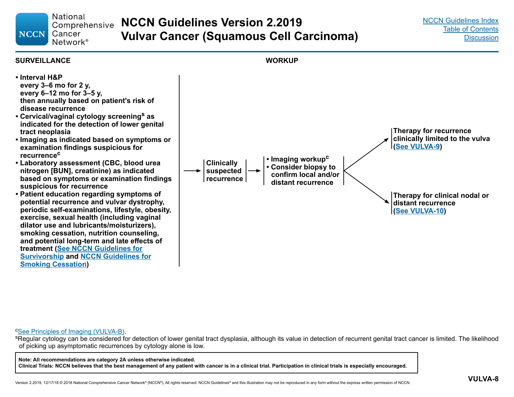**National NCCN Guidelines Version 2.2019** Comprehensive Cancer **Vulvar Cancer (Squamous Cell Carcinoma)** Network<sup>®</sup>



<span id="page-12-0"></span>**NCCN** 

<sup>c</sup>[See Principles of Imaging \(VULVA-B\)](#page-16-0).<br><sup>s</sup>Regular cytology can be considered for detection of lower genital tract dysplasia, although its value in detection of recurrent genital tract cancer is limited. The likelihood of picking up asymptomatic recurrences by cytology alone is low.

**Note: All recommendations are category 2A unless otherwise indicated. Clinical Trials: NCCN believes that the best management of any patient with cancer is in a clinical trial. Participation in clinical trials is especially encouraged.**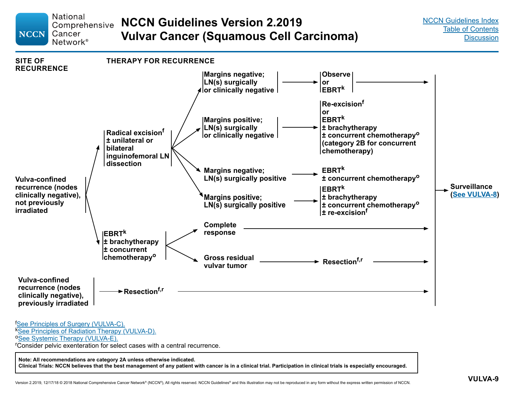<span id="page-13-0"></span>

**Clinical Trials: NCCN believes that the best management of any patient with cancer is in a clinical trial. Participation in clinical trials is especially encouraged.**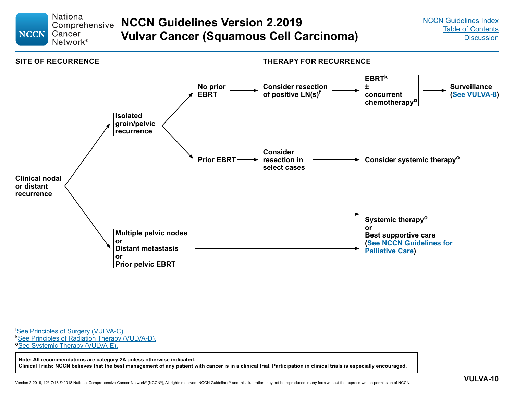#### <span id="page-14-0"></span>**National NCCN Guidelines Version 2.2019** Comprehensive **NCCN** Cancer **Vulvar Cancer (Squamous Cell Carcinoma)** Network<sup>®</sup>



**[See Principles of Surgery \(VULVA-C\).](#page-17-0)** <sup>k</sup>[See Principles of Radiation Therapy \(VULVA-D\).](#page-21-0) o[See Systemic Therapy \(VULVA-E\).](#page-26-0)

**Note: All recommendations are category 2A unless otherwise indicated. Clinical Trials: NCCN believes that the best management of any patient with cancer is in a clinical trial. Participation in clinical trials is especially encouraged.**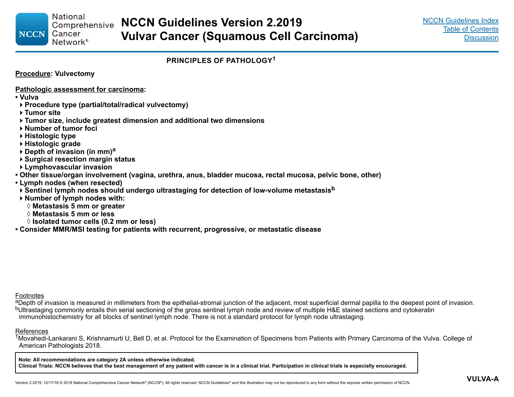#### **PRINCIPLES OF PATHOLOGY<sup>1</sup>**

**Procedure: Vulvectomy**

**Pathologic assessment for carcinoma:**

- **Vulva**
- **Procedure type (partial/total/radical vulvectomy)**
- **Tumor site**

<span id="page-15-0"></span>**NCCN** 

- **Tumor size, include greatest dimension and additional two dimensions**
- **Number of tumor foci**
- **Histologic type**
- **Histologic grade**
- **Depth of invasion (in mm)<sup>a</sup>**
- **Surgical resection margin status**
- **Lymphovascular invasion**
- **Other tissue/organ involvement (vagina, urethra, anus, bladder mucosa, rectal mucosa, pelvic bone, other)**
- **Lymph nodes (when resected)**
- **K** Sentinel lymph nodes should undergo ultrastaging for detection of low-volume metastasis<sup>b</sup>
- **Number of lymph nodes with:**
	- ◊ **Metastasis 5 mm or greater**
	- ◊ **Metastasis 5 mm or less**
	- ◊ **Isolated tumor cells (0.2 mm or less)**
- **Consider MMR/MSI testing for patients with recurrent, progressive, or metastatic disease**

Footnotes

aDepth of invasion is measured in millimeters from the epithelial-stromal junction of the adjacent, most superficial dermal papilla to the deepest point of invasion. bUltrastaging commonly entails thin serial sectioning of the gross sentinel lymph node and review of multiple H&E stained sections and cytokeratin immunohistochemistry for all blocks of sentinel lymph node. There is not a standard protocol for lymph node ultrastaging.

#### References

<sup>1</sup>Movahedi-Lankarani S, Krishnamurti U, Bell D, et al. Protocol for the Examination of Specimens from Patients with Primary Carcinoma of the Vulva. College of American Pathologists 2018.

**Note: All recommendations are category 2A unless otherwise indicated. Clinical Trials: NCCN believes that the best management of any patient with cancer is in a clinical trial. Participation in clinical trials is especially encouraged.**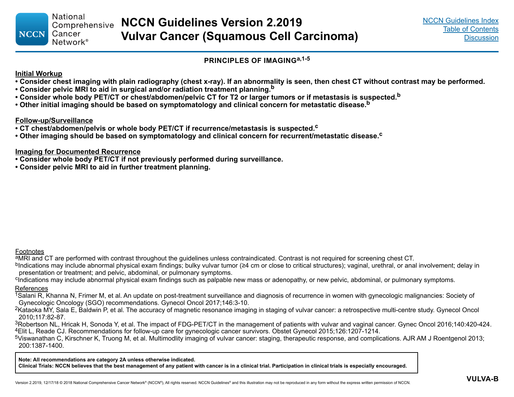#### **PRINCIPLES OF IMAGINGa,1-5**

#### <span id="page-16-0"></span>**Initial Workup**

- **Consider chest imaging with plain radiography (chest x-ray). If an abnormality is seen, then chest CT without contrast may be performed.**
- **Consider pelvic MRI to aid in surgical and/or radiation treatment planning.b**
- **Consider whole body PET/CT or chest/abdomen/pelvic CT for T2 or larger tumors or if metastasis is suspected.<sup>b</sup>**
- **Other initial imaging should be based on symptomatology and clinical concern for metastatic disease.b**

#### **Follow-up/Surveillance**

- **CT chest/abdomen/pelvis or whole body PET/CT if recurrence/metastasis is suspected.c**
- Other imaging should be based on symptomatology and clinical concern for recurrent/metastatic disease.<sup>c</sup>

#### **Imaging for Documented Recurrence**

- **Consider whole body PET/CT if not previously performed during surveillance.**
- **Consider pelvic MRI to aid in further treatment planning.**

#### Footnotes

aMRI and CT are performed with contrast throughout the guidelines unless contraindicated. Contrast is not required for screening chest CT.

<sup>b</sup>Indications may include abnormal physical exam findings; bulky vulvar tumor (≥4 cm or close to critical structures); vaginal, urethral, or anal involvement; delay in presentation or treatment; and pelvic, abdominal, or pulmonary symptoms.

<sup>c</sup>Indications may include abnormal physical exam findings such as palpable new mass or adenopathy, or new pelvic, abdominal, or pulmonary symptoms. References

<sup>1</sup>Salani R, Khanna N, Frimer M, et al. An update on post-treatment surveillance and diagnosis of recurrence in women with gynecologic malignancies: Society of Gynecologic Oncology (SGO) recommendations. Gynecol Oncol 2017;146:3-10.

<sup>2</sup>Kataoka MY, Sala E, Baldwin P, et al. The accuracy of magnetic resonance imaging in staging of vulvar cancer: a retrospective multi-centre study. Gynecol Oncol 2010;117:82-87.

 $3$ Robertson NL, Hricak H, Sonoda Y, et al. The impact of FDG-PET/CT in the management of patients with vulvar and vaginal cancer. Gynec Oncol 2016;140:420-424. <sup>4</sup>Elit L, Reade CJ. Recommendations for follow-up care for gynecologic cancer survivors. Obstet Gynecol 2015;126:1207-1214.

5Viswanathan C, Kirschner K, Truong M, et al. Multimodlity imaging of vulvar cancer: staging, therapeutic response, and complications. AJR AM J Roentgenol 2013; 200:1387-1400.

**Note: All recommendations are category 2A unless otherwise indicated.**

**Clinical Trials: NCCN believes that the best management of any patient with cancer is in a clinical trial. Participation in clinical trials is especially encouraged.**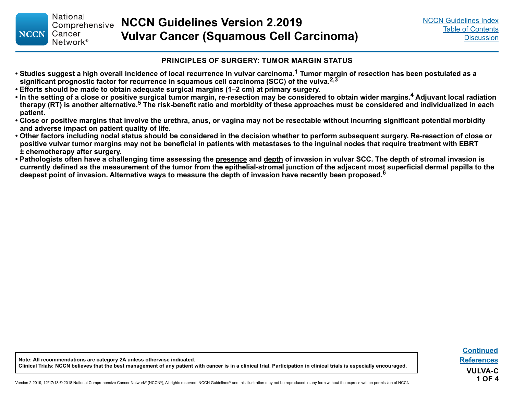#### **PRINCIPLES OF SURGERY: TUMOR MARGIN STATUS**

- <span id="page-17-0"></span>**• Studies suggest a high overall incidence of local recurrence in vulvar carcinoma.1 Tumor margin of resection has been postulated as a significant prognostic factor for recurrence in squamous cell carcinoma (SCC) of the vulva.2,3**
- **Efforts should be made to obtain adequate surgical margins (1–2 cm) at primary surgery.**
- **In the setting of a close or positive surgical tumor margin, re-resection may be considered to obtain wider margins.4 Adjuvant local radiation therapy (RT) is another alternative.5 The risk-benefit ratio and morbidity of these approaches must be considered and individualized in each patient.**
- **Close or positive margins that involve the urethra, anus, or vagina may not be resectable without incurring significant potential morbidity and adverse impact on patient quality of life.**
- **Other factors including nodal status should be considered in the decision whether to perform subsequent surgery. Re-resection of close or positive vulvar tumor margins may not be beneficial in patients with metastases to the inguinal nodes that require treatment with EBRT ± chemotherapy after surgery.**
- **Pathologists often have a challenging time assessing the presence and depth of invasion in vulvar SCC. The depth of stromal invasion is currently defined as the measurement of the tumor from the epithelial-stromal junction of the adjacent most superficial dermal papilla to the deepest point of invasion. Alternative ways to measure the depth of invasion have recently been proposed.<sup>6</sup>**

**Note: All recommendations are category 2A unless otherwise indicated. Clinical Trials: NCCN believes that the best management of any patient with cancer is in a clinical trial. Participation in clinical trials is especially encouraged.**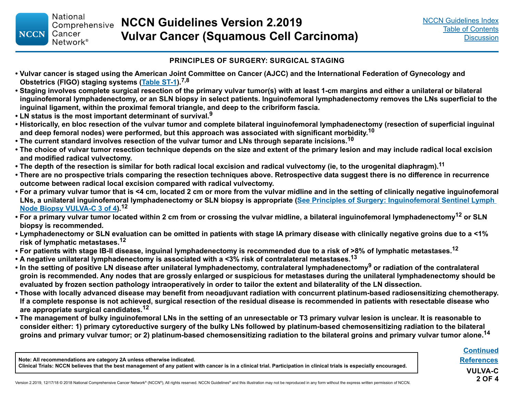#### **PRINCIPLES OF SURGERY: SURGICAL STAGING**

- **Vulvar cancer is staged using the American Joint Committee on Cancer (AJCC) and the International Federation of Gynecology and Obstetrics (FIGO) staging systems [\(Table ST-1\)](#page-27-0).7,8**
- **Staging involves complete surgical resection of the primary vulvar tumor(s) with at least 1-cm margins and either a unilateral or bilateral inguinofemoral lymphadenectomy, or an SLN biopsy in select patients. Inguinofemoral lymphadenectomy removes the LNs superficial to the inguinal ligament, within the proximal femoral triangle, and deep to the cribriform fascia.**
- **LN status is the most important determinant of survival.<sup>9</sup>**

<span id="page-18-0"></span>**NCCN** 

- **Historically, en bloc resection of the vulvar tumor and complete bilateral inguinofemoral lymphadenectomy (resection of superficial inguinal and deep femoral nodes) were performed, but this approach was associated with significant morbidity. 10**
- **The current standard involves resection of the vulvar tumor and LNs through separate incisions.<sup>10</sup>**
- **The choice of vulvar tumor resection technique depends on the size and extent of the primary lesion and may include radical local excision and modified radical vulvectomy.**
- **The depth of the resection is similar for both radical local excision and radical vulvectomy (ie, to the urogenital diaphragm).11**
- **There are no prospective trials comparing the resection techniques above. Retrospective data suggest there is no difference in recurrence outcome between radical local excision compared with radical vulvectomy.**
- **For a primary vulvar tumor that is <4 cm, located 2 cm or more from the vulvar midline and in the setting of clinically negative inguinofemoral LNs, a unilateral inguinofemoral lymphadenectomy or SLN biopsy is appropriate ([See Principles of Surgery: Inguinofemoral Sentinel Lymph](#page-19-0)  [Node Biopsy VULVA-C 3 of 4](#page-19-0)).12**
- For a primary vulvar tumor located within 2 cm from or crossing the vulvar midline, a bilateral inguinofemoral lymphadenectomy<sup>12</sup> or SLN **biopsy is recommended.**
- **Lymphadenectomy or SLN evaluation can be omitted in patients with stage IA primary disease with clinically negative groins due to a <1% risk of lymphatic metastases.<sup>12</sup>**
- **For patients with stage IB-II disease, inguinal lymphadenectomy is recommended due to a risk of >8% of lymphatic metastases.12**
- **A negative unilateral lymphadenectomy is associated with a <3% risk of contralateral metastases.<sup>13</sup>**
- **In the setting of positive LN disease after unilateral lymphadenectomy, contralateral lymphadenectomy9 or radiation of the contralateral groin is recommended. Any nodes that are grossly enlarged or suspicious for metastases during the unilateral lymphadenectomy should be evaluated by frozen section pathology intraoperatively in order to tailor the extent and bilaterality of the LN dissection.**
- **Those with locally advanced disease may benefit from neoadjuvant radiation with concurrent platinum-based radiosensitizing chemotherapy. If a complete response is not achieved, surgical resection of the residual disease is recommended in patients with resectable disease who are appropriate surgical candidates.<sup>12</sup>**
- **The management of bulky inguinofemoral LNs in the setting of an unresectable or T3 primary vulvar lesion is unclear. It is reasonable to consider either: 1) primary cytoreductive surgery of the bulky LNs followed by platinum-based chemosensitizing radiation to the bilateral groins and primary vulvar tumor; or 2) platinum-based chemosensitizing radiation to the bilateral groins and primary vulvar tumor alone.14**

**Note: All recommendations are category 2A unless otherwise indicated.**

**Clinical Trials: NCCN believes that the best management of any patient with cancer is in a clinical trial. Participation in clinical trials is especially encouraged.**

**VULVA-C 2 OF 4 [Continued](#page-19-0) [References](#page-20-0)**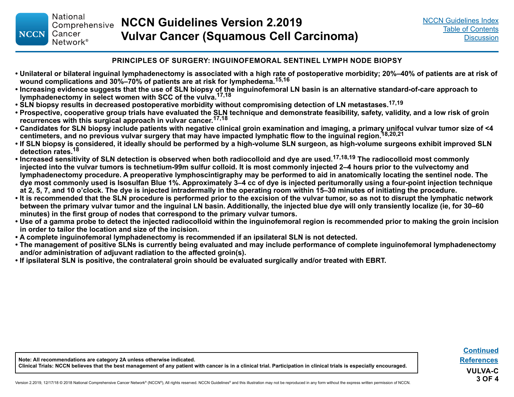**National** 

Cancer

Network<sup>®</sup>

<span id="page-19-0"></span>**NCCN** 

#### **PRINCIPLES OF SURGERY: INGUINOFEMORAL SENTINEL LYMPH NODE BIOPSY**

- **Unilateral or bilateral inguinal lymphadenectomy is associated with a high rate of postoperative morbidity; 20%–40% of patients are at risk of wound complications and 30%–70% of patients are at risk for lymphedema.15,16**
- **Increasing evidence suggests that the use of SLN biopsy of the inguinofemoral LN basin is an alternative standard-of-care approach to lymphadenectomy in select women with SCC of the vulva.17,18**
- **SLN biopsy results in decreased postoperative morbidity without compromising detection of LN metastases.17,19**
- **Prospective, cooperative group trials have evaluated the SLN technique and demonstrate feasibility, safety, validity, and a low risk of groin recurrences with this surgical approach in vulvar cancer.17,18**
- **Candidates for SLN biopsy include patients with negative clinical groin examination and imaging, a primary unifocal vulvar tumor size of <4 centimeters, and no previous vulvar surgery that may have impacted lymphatic flow to the inguinal region.18,20,21**
- **If SLN biopsy is considered, it ideally should be performed by a high-volume SLN surgeon, as high-volume surgeons exhibit improved SLN detection rates.<sup>18</sup>**
- **Increased sensitivity of SLN detection is observed when both radiocolloid and dye are used.17,18,19 The radiocolloid most commonly injected into the vulvar tumors is technetium-99m sulfur colloid. It is most commonly injected 2–4 hours prior to the vulvectomy and lymphadenectomy procedure. A preoperative lymphoscintigraphy may be performed to aid in anatomically locating the sentinel node. The dye most commonly used is Isosulfan Blue 1%. Approximately 3–4 cc of dye is injected peritumorally using a four-point injection technique at 2, 5, 7, and 10 o'clock. The dye is injected intradermally in the operating room within 15–30 minutes of initiating the procedure.**
- **It is recommended that the SLN procedure is performed prior to the excision of the vulvar tumor, so as not to disrupt the lymphatic network between the primary vulvar tumor and the inguinal LN basin. Additionally, the injected blue dye will only transiently localize (ie, for 30–60 minutes) in the first group of nodes that correspond to the primary vulvar tumors.**
- **Use of a gamma probe to detect the injected radiocolloid within the inguinofemoral region is recommended prior to making the groin incision in order to tailor the location and size of the incision.**
- **A complete inguinofemoral lymphadenectomy is recommended if an ipsilateral SLN is not detected.**
- **The management of positive SLNs is currently being evaluated and may include performance of complete inguinofemoral lymphadenectomy and/or administration of adjuvant radiation to the affected groin(s).**
- **If ipsilateral SLN is positive, the contralateral groin should be evaluated surgically and/or treated with EBRT.**

**Note: All recommendations are category 2A unless otherwise indicated. Clinical Trials: NCCN believes that the best management of any patient with cancer is in a clinical trial. Participation in clinical trials is especially encouraged.**

**VULVA-C 3 OF 4 [Continued](#page-20-0) [References](#page-20-0)**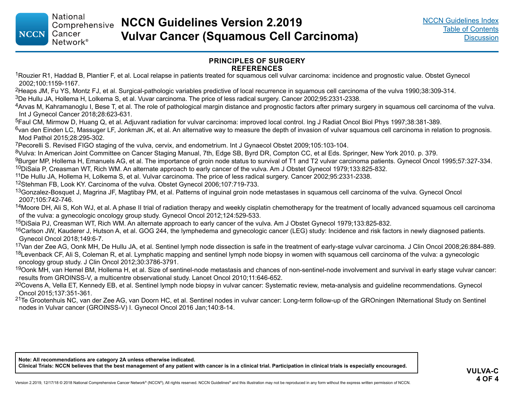#### **PRINCIPLES OF SURGERY REFERENCES**

<span id="page-20-0"></span><sup>1</sup>Rouzier R1, Haddad B, Plantier F, et al. Local relapse in patients treated for squamous cell vulvar carcinoma: incidence and prognostic value. Obstet Gynecol 2002;100:1159-1167.

<sup>2</sup>Heaps JM, Fu YS, Montz FJ, et al. Surgical-pathologic variables predictive of local recurrence in squamous cell carcinoma of the vulva 1990;38:309-314.

3De Hullu JA, Hollema H, Lolkema S, et al. Vuvar carcinoma. The price of less radical surgery. Cancer 2002;95:2331-2338.

4Arvas M, Kahramanoglu I, Bese T, et al. The role of pathological margin distance and prognostic factors after primary surgery in squamous cell carcinoma of the vulva. Int J Gynecol Cancer 2018;28:623-631.

5Faul CM, Mirmow D, Huang Q, et al. Adjuvant radiation for vulvar carcinoma: improved local control. Ing J Radiat Oncol Biol Phys 1997;38:381-389.

 $6$ van den Einden LC, Massuger LF, Jonkman JK, et al. An alternative way to measure the depth of invasion of vulvar squamous cell carcinoma in relation to prognosis. Mod Pathol 2015;28:295-302.

<sup>7</sup>Pecorelli S. Revised FIGO staging of the vulva, cervix, and endometrium. Int J Gynaecol Obstet 2009;105:103-104.

<sup>8</sup>Vulva: In American Joint Committee on Cancer Staging Manual, 7th, Edge SB, Byrd DR, Compton CC, et al Eds. Springer, New York 2010. p. 379.

9Burger MP, Hollema H, Emanuels AG, et al. The importance of groin node status to survival of T1 and T2 vulvar carcinoma patients. Gynecol Oncol 1995;57:327-334.

<sup>10</sup>DiSaia P, Creasman WT, Rich WM. An alternate approach to early cancer of the vulva. Am J Obstet Gynecol 1979;133:825-832.

<sup>11</sup>De Hullu JA, Hollema H, Lolkema S, et al. Vulvar carcinoma. The price of less radical surgery. Cancer 2002;95:2331-2338.

<sup>12</sup>Stehman FB, Look KY. Carcinoma of the vulva. Obstet Gynecol 2006;107:719-733.

<sup>13</sup>Gonzalez-Bosquet J, Magrina JF, Magtibay PM, et al. Patterns of inguinal groin node metastases in squamous cell carcinoma of the vulva. Gynecol Oncol 2007;105:742-746.

<sup>14</sup> Moore DH, Ali S, Koh WJ, et al. A phase II trial of radiation therapy and weekly cisplatin chemotherapy for the treatment of locally advanced squamous cell carcinoma of the vulva: a gynecologic oncology group study. Gynecol Oncol 2012;124:529-533.

15DiSaia PJ, Creasman WT, Rich WM. An alternate approach to early cancer of the vulva. Am J Obstet Gynecol 1979;133:825-832.

<sup>16</sup>Carlson JW, Kauderer J, Hutson A, et al. GOG 244, the lymphedema and gynecologic cancer (LEG) study: Incidence and risk factors in newly diagnosed patients. Gynecol Oncol 2018;149:6-7.

17Van der Zee AG, Oonk MH, De Hullu JA, et al. Sentinel lymph node dissection is safe in the treatment of early-stage vulvar carcinoma. J Clin Oncol 2008;26:884-889.  $18$ Levenback CF, Ali S, Coleman R, et al. Lymphatic mapping and sentinel lymph node biopsy in women with squamous cell carcinoma of the vulva: a gynecologic oncology group study. J Clin Oncol 2012;30:3786-3791.

<sup>19</sup>Oonk MH, van Hemel BM, Hollema H, et al. Size of sentinel-node metastasis and chances of non-sentinel-node involvement and survival in early stage vulvar cancer: results from GROINSS-V, a multicentre observational study. Lancet Oncol 2010;11:646-652.

<sup>20</sup>Covens A, Vella ET, Kennedy EB, et al. Sentinel lymph node biopsy in vulvar cancer: Systematic review, meta-analysis and guideline recommendations. Gynecol Oncol 2015;137:351-361.

<sup>21</sup>Te Grootenhuis NC, van der Zee AG, van Doorn HC, et al. Sentinel nodes in vulvar cancer: Long-term follow-up of the GROningen INternational Study on Sentinel nodes in Vulvar cancer (GROINSS-V) I. Gynecol Oncol 2016 Jan;140:8-14.

**Note: All recommendations are category 2A unless otherwise indicated. Clinical Trials: NCCN believes that the best management of any patient with cancer is in a clinical trial. Participation in clinical trials is especially encouraged.**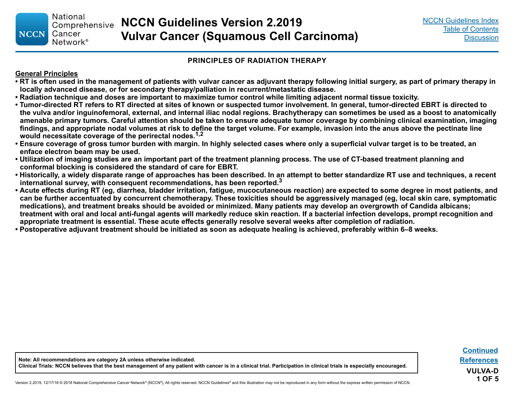#### **PRINCIPLES OF RADIATION THERAPY**

#### <span id="page-21-0"></span>**General Principles**

- **RT is often used in the management of patients with vulvar cancer as adjuvant therapy following initial surgery, as part of primary therapy in locally advanced disease, or for secondary therapy/palliation in recurrent/metastatic disease.**
- **Radiation technique and doses are important to maximize tumor control while limiting adjacent normal tissue toxicity.**
- **Tumor-directed RT refers to RT directed at sites of known or suspected tumor involvement. In general, tumor-directed EBRT is directed to the vulva and/or inguinofemoral, external, and internal iliac nodal regions. Brachytherapy can sometimes be used as a boost to anatomically amenable primary tumors. Careful attention should be taken to ensure adequate tumor coverage by combining clinical examination, imaging findings, and appropriate nodal volumes at risk to define the target volume. For example, invasion into the anus above the pectinate line would necessitate coverage of the perirectal nodes.1,2**
- **Ensure coverage of gross tumor burden with margin. In highly selected cases where only a superficial vulvar target is to be treated, an enface electron beam may be used.**
- **Utilization of imaging studies are an important part of the treatment planning process. The use of CT-based treatment planning and conformal blocking is considered the standard of care for EBRT.**
- **Historically, a widely disparate range of approaches has been described. In an attempt to better standardize RT use and techniques, a recent international survey, with consequent recommendations, has been reported.3**
- **Acute effects during RT (eg, diarrhea, bladder irritation, fatigue, mucocutaneous reaction) are expected to some degree in most patients, and can be further accentuated by concurrent chemotherapy. These toxicities should be aggressively managed (eg, local skin care, symptomatic medications), and treatment breaks should be avoided or minimized. Many patients may develop an overgrowth of Candida albicans; treatment with oral and local anti-fungal agents will markedly reduce skin reaction. If a bacterial infection develops, prompt recognition and appropriate treatment is essential. These acute effects generally resolve several weeks after completion of radiation.**
- **Postoperative adjuvant treatment should be initiated as soon as adequate healing is achieved, preferably within 6–8 weeks.**

**[Continued](#page-22-0) [References](#page-25-0) VULVA-D 1 OF 5**

**Note: All recommendations are category 2A unless otherwise indicated. Clinical Trials: NCCN believes that the best management of any patient with cancer is in a clinical trial. Participation in clinical trials is especially encouraged.**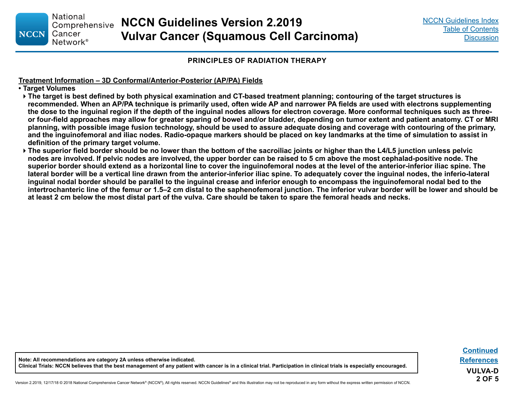#### **PRINCIPLES OF RADIATION THERAPY**

#### <span id="page-22-0"></span>**Treatment Information – 3D Conformal/Anterior-Posterior (AP/PA) Fields**

**• Target Volumes** 

- **The target is best defined by both physical examination and CT-based treatment planning; contouring of the target structures is recommended. When an AP/PA technique is primarily used, often wide AP and narrower PA fields are used with electrons supplementing the dose to the inguinal region if the depth of the inguinal nodes allows for electron coverage. More conformal techniques such as threeor four-field approaches may allow for greater sparing of bowel and/or bladder, depending on tumor extent and patient anatomy. CT or MRI planning, with possible image fusion technology, should be used to assure adequate dosing and coverage with contouring of the primary, and the inguinofemoral and iliac nodes. Radio-opaque markers should be placed on key landmarks at the time of simulation to assist in definition of the primary target volume.**
- **The superior field border should be no lower than the bottom of the sacroiliac joints or higher than the L4/L5 junction unless pelvic nodes are involved. If pelvic nodes are involved, the upper border can be raised to 5 cm above the most cephalad-positive node. The superior border should extend as a horizontal line to cover the inguinofemoral nodes at the level of the anterior-inferior iliac spine. The lateral border will be a vertical line drawn from the anterior-inferior iliac spine. To adequately cover the inguinal nodes, the inferio-lateral inguinal nodal border should be parallel to the inguinal crease and inferior enough to encompass the inguinofemoral nodal bed to the intertrochanteric line of the femur or 1.5–2 cm distal to the saphenofemoral junction. The inferior vulvar border will be lower and should be at least 2 cm below the most distal part of the vulva. Care should be taken to spare the femoral heads and necks.**

**Note: All recommendations are category 2A unless otherwise indicated. Clinical Trials: NCCN believes that the best management of any patient with cancer is in a clinical trial. Participation in clinical trials is especially encouraged.**

**[Continued](#page-23-0) VULVA-D 2 OF 5 [References](#page-25-0)**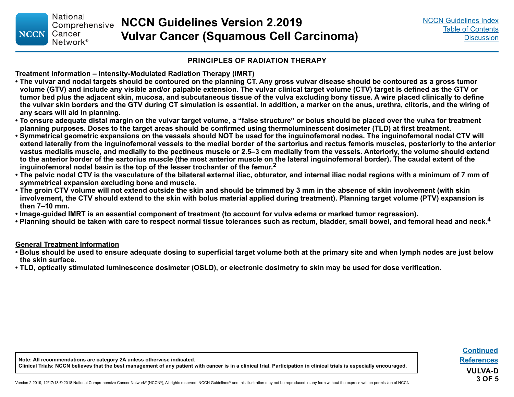**National NCCN Guidelines Version 2.2019** Comprehensive Cancer **Vulvar Cancer (Squamous Cell Carcinoma)** Network<sup>®</sup>

#### **PRINCIPLES OF RADIATION THERAPY**

#### **Treatment Information – Intensity-Modulated Radiation Therapy (IMRT)**

- **The vulvar and nodal targets should be contoured on the planning CT. Any gross vulvar disease should be contoured as a gross tumor volume (GTV) and include any visible and/or palpable extension. The vulvar clinical target volume (CTV) target is defined as the GTV or tumor bed plus the adjacent skin, mucosa, and subcutaneous tissue of the vulva excluding bony tissue. A wire placed clinically to define the vulvar skin borders and the GTV during CT simulation is essential. In addition, a marker on the anus, urethra, clitoris, and the wiring of any scars will aid in planning.**
- **To ensure adequate distal margin on the vulvar target volume, a "false structure" or bolus should be placed over the vulva for treatment planning purposes. Doses to the target areas should be confirmed using thermoluminescent dosimeter (TLD) at first treatment.**
- **Symmetrical geometric expansions on the vessels should NOT be used for the inguinofemoral nodes. The inguinofemoral nodal CTV will extend laterally from the inguinofemoral vessels to the medial border of the sartorius and rectus femoris muscles, posteriorly to the anterior vastus medialis muscle, and medially to the pectineus muscle or 2.5–3 cm medially from the vessels. Anteriorly, the volume should extend to the anterior border of the sartorius muscle (the most anterior muscle on the lateral inguinofemoral border). The caudal extent of the inguinofemoral nodal basin is the top of the lesser trochanter of the femur.<sup>2</sup>**
- **The pelvic nodal CTV is the vasculature of the bilateral external iliac, obturator, and internal iliac nodal regions with a minimum of 7 mm of symmetrical expansion excluding bone and muscle.**
- **The groin CTV volume will not extend outside the skin and should be trimmed by 3 mm in the absence of skin involvement (with skin involvement, the CTV should extend to the skin with bolus material applied during treatment). Planning target volume (PTV) expansion is then 7–10 mm.**
- **Image-guided IMRT is an essential component of treatment (to account for vulva edema or marked tumor regression).**
- **Planning should be taken with care to respect normal tissue tolerances such as rectum, bladder, small bowel, and femoral head and neck.<sup>4</sup>**

#### **General Treatment Information**

<span id="page-23-0"></span>**NCCN** 

- **Bolus should be used to ensure adequate dosing to superficial target volume both at the primary site and when lymph nodes are just below the skin surface.**
- **TLD, optically stimulated luminescence dosimeter (OSLD), or electronic dosimetry to skin may be used for dose verification.**

**Note: All recommendations are category 2A unless otherwise indicated. Clinical Trials: NCCN believes that the best management of any patient with cancer is in a clinical trial. Participation in clinical trials is especially encouraged.**

**VULVA-D 3 OF 5 [Continued](#page-24-0) [References](#page-25-0)**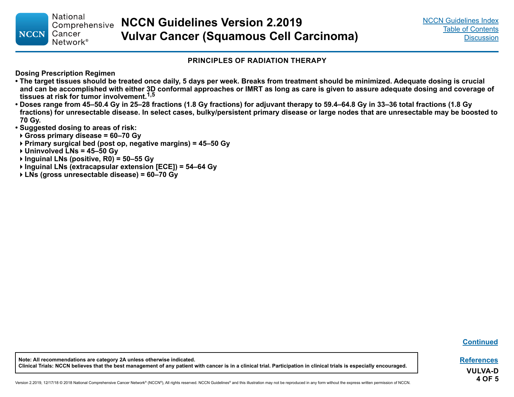#### **PRINCIPLES OF RADIATION THERAPY**

<span id="page-24-0"></span>**Dosing Prescription Regimen** 

- **The target tissues should be treated once daily, 5 days per week. Breaks from treatment should be minimized. Adequate dosing is crucial and can be accomplished with either 3D conformal approaches or IMRT as long as care is given to assure adequate dosing and coverage of tissues at risk for tumor involvement.1,5**
- **Doses range from 45–50.4 Gy in 25–28 fractions (1.8 Gy fractions) for adjuvant therapy to 59.4–64.8 Gy in 33–36 total fractions (1.8 Gy fractions) for unresectable disease. In select cases, bulky/persistent primary disease or large nodes that are unresectable may be boosted to 70 Gy.**
- **Suggested dosing to areas of risk:**
- **Gross primary disease = 60–70 Gy**
- **Primary surgical bed (post op, negative margins) = 45–50 Gy**

**Uninvolved LNs = 45–50 Gy**

- **Inguinal LNs (positive, R0) = 50–55 Gy**
- **Inguinal LNs (extracapsular extension [ECE]) = 54–64 Gy**
- **LNs (gross unresectable disease) = 60–70 Gy**

**[Continued](#page-25-0)**

**[References](#page-25-0)**

**VULVA-D 4 OF 5**

**Note: All recommendations are category 2A unless otherwise indicated. Clinical Trials: NCCN believes that the best management of any patient with cancer is in a clinical trial. Participation in clinical trials is especially encouraged.**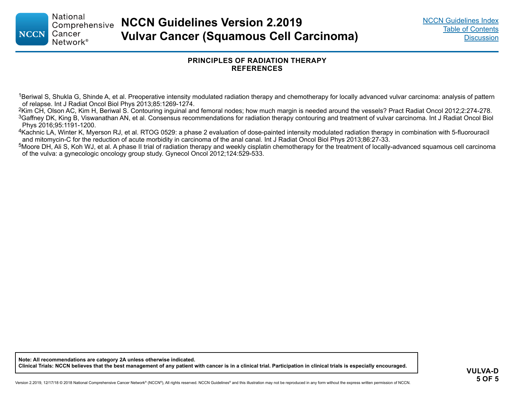<span id="page-25-0"></span>**NCCN** 

#### **PRINCIPLES OF RADIATION THERAPY REFERENCES**

<sup>1</sup>Beriwal S, Shukla G, Shinde A, et al. Preoperative intensity modulated radiation therapy and chemotherapy for locally advanced vulvar carcinoma: analysis of pattern of relapse. Int J Radiat Oncol Biol Phys 2013;85:1269-1274.

<sup>2</sup>Kim CH, Olson AC, Kim H, Beriwal S. Contouring inguinal and femoral nodes; how much margin is needed around the vessels? Pract Radiat Oncol 2012;2:274-278.  $3$ Gaffney DK, King B, Viswanathan AN, et al. Consensus recommendations for radiation therapy contouring and treatment of vulvar carcinoma. Int J Radiat Oncol Biol Phys 2016;95:1191-1200.

<sup>4</sup>Kachnic LA, Winter K, Myerson RJ, et al. RTOG 0529: a phase 2 evaluation of dose-painted intensity modulated radiation therapy in combination with 5-fluorouracil and mitomycin-C for the reduction of acute morbidity in carcinoma of the anal canal. Int J Radiat Oncol Biol Phys 2013;86:27-33.

<sup>5</sup>Moore DH, Ali S, Koh WJ, et al. A phase II trial of radiation therapy and weekly cisplatin chemotherapy for the treatment of locally-advanced squamous cell carcinoma of the vulva: a gynecologic oncology group study. Gynecol Oncol 2012;124:529-533.

**Note: All recommendations are category 2A unless otherwise indicated. Clinical Trials: NCCN believes that the best management of any patient with cancer is in a clinical trial. Participation in clinical trials is especially encouraged.**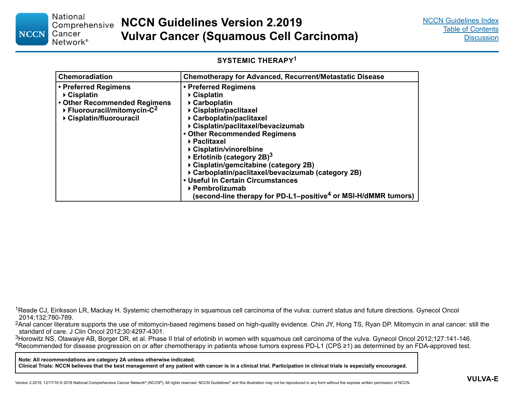#### <span id="page-26-0"></span>**National** Comprehensive Cancer **NCCN** Network<sup>®</sup>

#### **SYSTEMIC THERAPY<sup>1</sup>**

| <b>Chemoradiation</b>                                                                                                                                                    | <b>Chemotherapy for Advanced, Recurrent/Metastatic Disease</b>                                                                                                                                                                                                                                                                                                                                                                                                                                                                 |
|--------------------------------------------------------------------------------------------------------------------------------------------------------------------------|--------------------------------------------------------------------------------------------------------------------------------------------------------------------------------------------------------------------------------------------------------------------------------------------------------------------------------------------------------------------------------------------------------------------------------------------------------------------------------------------------------------------------------|
| • Preferred Regimens<br>$\triangleright$ Cisplatin<br>• Other Recommended Regimens<br>$\triangleright$ Fluorouracil/mitomycin-C <sup>2</sup><br>▶ Cisplatin/fluorouracil | • Preferred Regimens<br>$\triangleright$ Cisplatin<br>▶ Carboplatin<br>▶ Cisplatin/paclitaxel<br>▶ Carboplatin/paclitaxel<br>▶ Cisplatin/paclitaxel/bevacizumab<br>• Other Recommended Regimens<br>▶ Paclitaxel<br>▶ Cisplatin/vinorelbine<br>Erlotinib (category 2B) <sup>3</sup><br>▶ Cisplatin/gemcitabine (category 2B)<br>▶ Carboplatin/paclitaxel/bevacizumab (category 2B)<br>• Useful In Certain Circumstances<br>▶ Pembrolizumab<br>(second-line therapy for PD-L1–positive <sup>4</sup> or MSI-H/dMMR tumors) $\mid$ |

<sup>1</sup>Reade CJ, Eiriksson LR, Mackay H. Systemic chemotherapy in squamous cell carcinoma of the vulva: current status and future directions. Gynecol Oncol 2014;132:780-789.

<sup>2</sup>Anal cancer literature supports the use of mitomycin-based regimens based on high-quality evidence. Chin JY, Hong TS, Ryan DP. Mitomycin in anal cancer: still the standard of care. J Clin Oncol 2012;30:4297-4301.

<sup>3</sup>Horowitz NS, Olawaiye AB, Borger DR, et al. Phase II trial of erlotinib in women with squamous cell carcinoma of the vulva. Gynecol Oncol 2012;127:141-146. <sup>4</sup>Recommended for disease progression on or after chemotherapy in patients whose tumors express PD-L1 (CPS ≥1) as determined by an FDA-approved test.

**Note: All recommendations are category 2A unless otherwise indicated.**

**Clinical Trials: NCCN believes that the best management of any patient with cancer is in a clinical trial. Participation in clinical trials is especially encouraged.**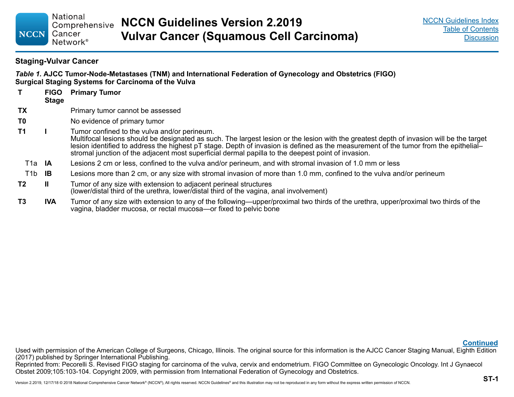#### **Staging-Vulvar Cancer**

<span id="page-27-0"></span>**NCCN** 

**National** 

Cancer

*Table 1.* **AJCC Tumor-Node-Metastases (TNM) and International Federation of Gynecology and Obstetrics (FIGO) Surgical Staging Systems for Carcinoma of the Vulva**

|                     | <b>FIGO</b><br><b>Stage</b> | <b>Primary Tumor</b>                                                                                                                                                                                                                                                                                                                                                                                                                   |
|---------------------|-----------------------------|----------------------------------------------------------------------------------------------------------------------------------------------------------------------------------------------------------------------------------------------------------------------------------------------------------------------------------------------------------------------------------------------------------------------------------------|
| TХ                  |                             | Primary tumor cannot be assessed                                                                                                                                                                                                                                                                                                                                                                                                       |
| T0                  |                             | No evidence of primary tumor                                                                                                                                                                                                                                                                                                                                                                                                           |
| T1                  |                             | Tumor confined to the vulva and/or perineum.<br>Multifocal lesions should be designated as such. The largest lesion or the lesion with the greatest depth of invasion will be the target<br>lesion identified to address the highest pT stage. Depth of invasion is defined as the measurement of the tumor from the epithelial-<br>stromal junction of the adjacent most superficial dermal papilla to the deepest point of invasion. |
| T <sub>1</sub> a IA |                             | Lesions 2 cm or less, confined to the vulva and/or perineum, and with stromal invasion of 1.0 mm or less                                                                                                                                                                                                                                                                                                                               |
| T1b                 | -lB                         | Lesions more than 2 cm, or any size with stromal invasion of more than 1.0 mm, confined to the vulva and/or perineum                                                                                                                                                                                                                                                                                                                   |
| T2                  | Ш                           | Tumor of any size with extension to adjacent perineal structures<br>(lower/distal third of the urethra, lower/distal third of the vagina, anal involvement)                                                                                                                                                                                                                                                                            |
| T3                  | <b>IVA</b>                  | Tumor of any size with extension to any of the following—upper/proximal two thirds of the urethra, upper/proximal two thirds of the<br>vagina, bladder mucosa, or rectal mucosa-or fixed to pelvic bone                                                                                                                                                                                                                                |

**[Continued](#page-28-0)**

Used with permission of the American College of Surgeons, Chicago, Illinois. The original source for this information is the AJCC Cancer Staging Manual, Eighth Edition (2017) published by Springer International Publishing.

Reprinted from: Pecorelli S. Revised FIGO staging for carcinoma of the vulva, cervix and endometrium. FIGO Committee on Gynecologic Oncology. Int J Gynaecol Obstet 2009;105:103-104. Copyright 2009, with permission from International Federation of Gynecology and Obstetrics.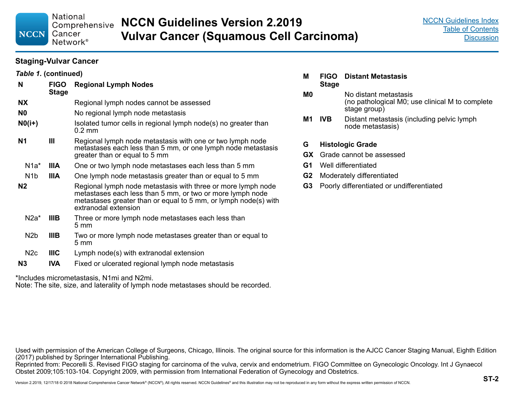<span id="page-28-0"></span>**National** Comprehensive Cancer **NCCN** 

Network<sup>®</sup>

**NCCN Guidelines Version 2.2019 Vulvar Cancer (Squamous Cell Carcinoma)**

#### **Staging-Vulvar Cancer**

| Table 1. (continued) |                             |                                                                                                                                                                                                                      |  |  |
|----------------------|-----------------------------|----------------------------------------------------------------------------------------------------------------------------------------------------------------------------------------------------------------------|--|--|
| N                    | <b>FIGO</b><br><b>Stage</b> | <b>Regional Lymph Nodes</b>                                                                                                                                                                                          |  |  |
| <b>NX</b>            |                             | Regional lymph nodes cannot be assessed                                                                                                                                                                              |  |  |
| N0                   |                             | No regional lymph node metastasis                                                                                                                                                                                    |  |  |
| $N0(i+)$             |                             | Isolated tumor cells in regional lymph node(s) no greater than<br>$0.2$ mm                                                                                                                                           |  |  |
| N1                   | Ш                           | Regional lymph node metastasis with one or two lymph node<br>metastases each less than 5 mm, or one lymph node metastasis<br>greater than or equal to 5 mm                                                           |  |  |
| $N1a^*$              | <b>IIIA</b>                 | One or two lymph node metastases each less than 5 mm                                                                                                                                                                 |  |  |
| N <sub>1</sub> b     | <b>IIIA</b>                 | One lymph node metastasis greater than or equal to 5 mm                                                                                                                                                              |  |  |
| N <sub>2</sub>       |                             | Regional lymph node metastasis with three or more lymph node<br>metastases each less than 5 mm, or two or more lymph node<br>metastases greater than or equal to 5 mm, or lymph node(s) with<br>extranodal extension |  |  |
| $N2a^*$              | <b>IIIB</b>                 | Three or more lymph node metastases each less than<br>$5 \text{ mm}$                                                                                                                                                 |  |  |
| N <sub>2</sub> b     | <b>IIIB</b>                 | Two or more lymph node metastases greater than or equal to<br>$5 \text{ mm}$                                                                                                                                         |  |  |
| N <sub>2c</sub>      | <b>IIIC</b>                 | Lymph node(s) with extranodal extension                                                                                                                                                                              |  |  |
| N3                   | <b>IVA</b>                  | Fixed or ulcerated regional lymph node metastasis                                                                                                                                                                    |  |  |

\*Includes micrometastasis, N1mi and N2mi.

Note: The site, size, and laterality of lymph node metastases should be recorded.

- **M FIGO Distant Metastasis Stage**
- **M0** No distant metastasis (no pathological M0; use clinical M to complete stage group)
- **M1 IVB** Distant metastasis (including pelvic lymph node metastasis)
- **G Histologic Grade**
- **GX** Grade cannot be assessed
- **G1** Well differentiated
- **G2** Moderately differentiated
- **G3** Poorly differentiated or undifferentiated

Used with permission of the American College of Surgeons, Chicago, Illinois. The original source for this information is the AJCC Cancer Staging Manual, Eighth Edition (2017) published by Springer International Publishing.

Reprinted from: Pecorelli S. Revised FIGO staging for carcinoma of the vulva, cervix and endometrium. FIGO Committee on Gynecologic Oncology. Int J Gynaecol Obstet 2009;105:103-104. Copyright 2009, with permission from International Federation of Gynecology and Obstetrics.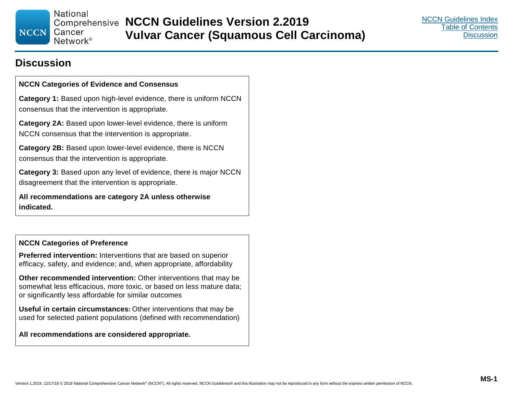**National** 

Cancer Network<sup>®</sup>

## **Discussion**

<span id="page-29-0"></span>**NCCN** 

#### **NCCN Categories of Evidence and Consensus**

**Category 1:** Based upon high-level evidence, there is uniform NCCN consensus that the intervention is appropriate.

**Category 2A:** Based upon lower-level evidence, there is uniform NCCN consensus that the intervention is appropriate.

**Category 2B:** Based upon lower-level evidence, there is NCCN consensus that the intervention is appropriate.

**Category 3:** Based upon any level of evidence, there is major NCCN disagreement that the intervention is appropriate.

**All recommendations are category 2A unless otherwise indicated.**

#### **NCCN Categories of Preference**

**Preferred intervention:** Interventions that are based on superior efficacy, safety, and evidence; and, when appropriate, affordability

**Other recommended intervention:** Other interventions that may be somewhat less efficacious, more toxic, or based on less mature data; or significantly less affordable for similar outcomes

**Useful in certain circumstances:** Other interventions that may be used for selected patient populations (defined with recommendation)

#### **All recommendations are considered appropriate.**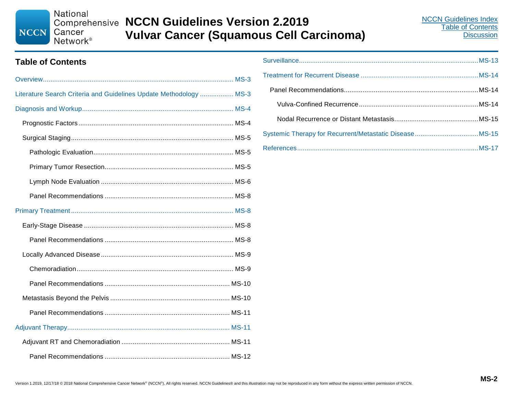National **NCCN** Cancer

Network<sup>®</sup>

# **Comprehensive NCCN Guidelines Version 2.2019 Vulvar Cancer (Squamous Cell Carcinoma)**

### **Table of Contents**

| Literature Search Criteria and Guidelines Update Methodology  MS-3 |  |  |
|--------------------------------------------------------------------|--|--|
|                                                                    |  |  |
|                                                                    |  |  |
|                                                                    |  |  |
|                                                                    |  |  |
|                                                                    |  |  |
|                                                                    |  |  |
|                                                                    |  |  |
|                                                                    |  |  |
|                                                                    |  |  |
|                                                                    |  |  |
|                                                                    |  |  |
|                                                                    |  |  |
|                                                                    |  |  |
|                                                                    |  |  |
|                                                                    |  |  |
|                                                                    |  |  |
|                                                                    |  |  |
|                                                                    |  |  |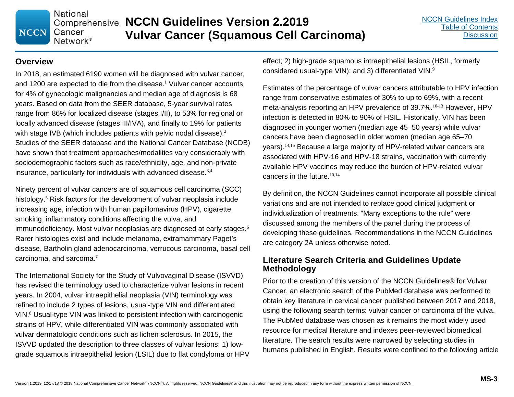**National NCCN** Cancer

Network<sup>®</sup>

#### **Overview**

In 2018, an estimated 6190 women will be diagnosed with vulvar cancer, and 1200 are expected to die from the disease. <sup>1</sup> Vulvar cancer accounts for 4% of gynecologic malignancies and median age of diagnosis is 68 years. Based on data from the SEER database, 5-year survival rates range from 86% for localized disease (stages I/II), to 53% for regional or locally advanced disease (stages III/IVA), and finally to 19% for patients with stage IVB (which includes patients with pelvic nodal disease).<sup>2</sup> Studies of the SEER database and the National Cancer Database (NCDB) have shown that treatment approaches/modalities vary considerably with sociodemographic factors such as race/ethnicity, age, and non-private insurance, particularly for individuals with advanced disease.<sup>3,4</sup>

Ninety percent of vulvar cancers are of squamous cell carcinoma (SCC) histology. <sup>5</sup> Risk factors for the development of vulvar neoplasia include increasing age, infection with human papillomavirus (HPV), cigarette smoking, inflammatory conditions affecting the vulva, and immunodeficiency. Most vulvar neoplasias are diagnosed at early stages.<sup>6</sup> Rarer histologies exist and include melanoma, extramammary Paget's disease, Bartholin gland adenocarcinoma, verrucous carcinoma, basal cell carcinoma, and sarcoma.<sup>7</sup>

The International Society for the Study of Vulvovaginal Disease (ISVVD) has revised the terminology used to characterize vulvar lesions in recent years. In 2004, vulvar intraepithelial neoplasia (VIN) terminology was refined to include 2 types of lesions, usual-type VIN and differentiated VIN.<sup>8</sup> Usual-type VIN was linked to persistent infection with carcinogenic strains of HPV, while differentiated VIN was commonly associated with vulvar dermatologic conditions such as lichen sclerosus. In 2015, the ISVVD updated the description to three classes of vulvar lesions: 1) lowgrade squamous intraepithelial lesion (LSIL) due to flat condyloma or HPV effect; 2) high-grade squamous intraepithelial lesions (HSIL, formerly considered usual-type VIN); and 3) differentiated VIN.<sup>9</sup>

Estimates of the percentage of vulvar cancers attributable to HPV infection range from conservative estimates of 30% to up to 69%, with a recent meta-analysis reporting an HPV prevalence of 39.7%.<sup>10-13</sup> However, HPV infection is detected in 80% to 90% of HSIL. Historically, VIN has been diagnosed in younger women (median age 45–50 years) while vulvar cancers have been diagnosed in older women (median age 65–70 years).14,15 Because a large majority of HPV-related vulvar cancers are associated with HPV-16 and HPV-18 strains, vaccination with currently available HPV vaccines may reduce the burden of HPV-related vulvar cancers in the future. $10,14$ 

By definition, the NCCN Guidelines cannot incorporate all possible clinical variations and are not intended to replace good clinical judgment or individualization of treatments. "Many exceptions to the rule" were discussed among the members of the panel during the process of developing these guidelines. Recommendations in the NCCN Guidelines are category 2A unless otherwise noted.

#### **Literature Search Criteria and Guidelines Update Methodology**

Prior to the creation of this version of the NCCN Guidelines® for Vulvar Cancer, an electronic search of the PubMed database was performed to obtain key literature in cervical cancer published between 2017 and 2018, using the following search terms: vulvar cancer or carcinoma of the vulva. The PubMed database was chosen as it remains the most widely used resource for medical literature and indexes peer-reviewed biomedical literature. The search results were narrowed by selecting studies in humans published in English. Results were confined to the following article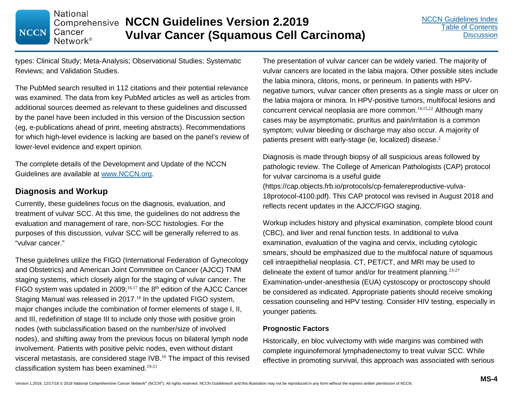**National Comprehensive NCCN Guidelines Version 2.2019** Cancer **Vulvar Cancer (Squamous Cell Carcinoma)** Network<sup>®</sup>

types: Clinical Study; Meta-Analysis; Observational Studies; Systematic Reviews; and Validation Studies.

The PubMed search resulted in 112 citations and their potential relevance was examined. The data from key PubMed articles as well as articles from additional sources deemed as relevant to these guidelines and discussed by the panel have been included in this version of the Discussion section (eg, e-publications ahead of print, meeting abstracts). Recommendations for which high-level evidence is lacking are based on the panel's review of lower-level evidence and expert opinion.

The complete details of the Development and Update of the NCCN Guidelines are available at www.NCCN.org.

### **Diagnosis and Workup**

**NCCN** 

Currently, these guidelines focus on the diagnosis, evaluation, and treatment of vulvar SCC. At this time, the guidelines do not address the evaluation and management of rare, non-SCC histologies. For the purposes of this discussion, vulvar SCC will be generally referred to as "vulvar cancer."

These guidelines utilize the FIGO (International Federation of Gynecology and Obstetrics) and American Joint Committee on Cancer (AJCC) TNM staging systems, which closely align for the staging of vulvar cancer. The FIGO system was updated in 2009;<sup>16,17</sup> the  $8<sup>th</sup>$  edition of the AJCC Cancer Staging Manual was released in 2017.<sup>18</sup> In the updated FIGO system, major changes include the combination of former elements of stage I, II, and III, redefinition of stage III to include only those with positive groin nodes (with subclassification based on the number/size of involved nodes), and shifting away from the previous focus on bilateral lymph node involvement. Patients with positive pelvic nodes, even without distant visceral metastasis, are considered stage IVB.<sup>16</sup> The impact of this revised classification system has been examined.19-21

The presentation of vulvar cancer can be widely varied. The majority of vulvar cancers are located in the labia majora. Other possible sites include the labia minora, clitoris, mons, or perineum. In patients with HPVnegative tumors, vulvar cancer often presents as a single mass or ulcer on the labia majora or minora. In HPV-positive tumors, multifocal lesions and concurrent cervical neoplasia are more common.14,15,22 Although many cases may be asymptomatic, pruritus and pain/irritation is a common symptom; vulvar bleeding or discharge may also occur. A majority of patients present with early-stage (ie, localized) disease.<sup>2</sup>

Diagnosis is made through biopsy of all suspicious areas followed by pathologic review. The College of American Pathologists (CAP) protocol for vulvar carcinoma is a useful guide (https://cap.objects.frb.io/protocols/cp-femalereproductive-vulva-18protocol-4100.pdf). This CAP protocol was revised in August 2018 and reflects recent updates in the AJCC/FIGO staging.

Workup includes history and physical examination, complete blood count (CBC), and liver and renal function tests. In additional to vulva examination, evaluation of the vagina and cervix, including cytologic smears, should be emphasized due to the multifocal nature of squamous cell intraepithelial neoplasia. CT, PET/CT, and MRI may be used to delineate the extent of tumor and/or for treatment planning.<sup>23-27</sup> Examination-under-anesthesia (EUA) cystoscopy or proctoscopy should be considered as indicated. Appropriate patients should receive smoking cessation counseling and HPV testing. Consider HIV testing, especially in younger patients.

#### **Prognostic Factors**

Historically, en bloc vulvectomy with wide margins was combined with complete inguinofemoral lymphadenectomy to treat vulvar SCC. While effective in promoting survival, this approach was associated with serious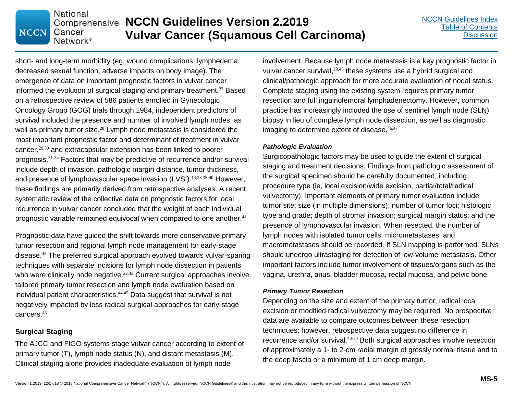short- and long-term morbidity (eg, wound complications, lymphedema, decreased sexual function, adverse impacts on body image). The emergence of data on important prognostic factors in vulvar cancer informed the evolution of surgical staging and primary treatment.<sup>22</sup> Based on a retrospective review of 586 patients enrolled in Gynecologic Oncology Group (GOG) trials through 1984, independent predictors of survival included the presence and number of involved lymph nodes, as well as primary tumor size. $^{28}$  Lymph node metastasis is considered the most important prognostic factor and determinant of treatment in vulvar cancer,29,30 and extracapsular extension has been linked to poorer prognosis.31-34 Factors that may be predictive of recurrence and/or survival include depth of invasion, pathologic margin distance, tumor thickness, and presence of lymphovascular space invasion (LVSI).<sup>14,28,35-40</sup> However, these findings are primarily derived from retrospective analyses. A recent systematic review of the collective data on prognostic factors for local recurrence in vulvar cancer concluded that the weight of each individual prognostic variable remained equivocal when compared to one another. 41

**National** 

Cancer Network<sup>®</sup>

**NCCN** 

**Comprehensive NCCN Guidelines Version 2.2019** 

**Vulvar Cancer (Squamous Cell Carcinoma)**

Prognostic data have guided the shift towards more conservative primary tumor resection and regional lymph node management for early-stage disease.<sup>42</sup> The preferred surgical approach evolved towards vulvar-sparing techniques with separate incisions for lymph node dissection in patients who were clinically node negative.<sup>22,43</sup> Current surgical approaches involve tailored primary tumor resection and lymph node evaluation based on individual patient characteristics.44,45 Data suggest that survival is not negatively impacted by less radical surgical approaches for early-stage cancers.<sup>45</sup>

#### **Surgical Staging**

The AJCC and FIGO systems stage vulvar cancer according to extent of primary tumor (T), lymph node status (N), and distant metastasis (M). Clinical staging alone provides inadequate evaluation of lymph node

involvement. Because lymph node metastasis is a key prognostic factor in vulvar cancer survival,<sup>29,45</sup> these systems use a hybrid surgical and clinical/pathologic approach for more accurate evaluation of nodal status. Complete staging using the existing system requires primary tumor resection and full inguinofemoral lymphadenectomy. However, common practice has increasingly included the use of sentinel lymph node (SLN) biopsy in lieu of complete lymph node dissection, as well as diagnostic imaging to determine extent of disease. $46,47$ 

#### *Pathologic Evaluation*

Surgicopathologic factors may be used to guide the extent of surgical staging and treatment decisions. Findings from pathologic assessment of the surgical specimen should be carefully documented, including procedure type (ie, local excision/wide excision, partial/total/radical vulvectomy). Important elements of primary tumor evaluation include tumor site; size (in multiple dimensions); number of tumor foci; histologic type and grade; depth of stromal invasion; surgical margin status; and the presence of lymphovascular invasion. When resected, the number of lymph nodes with isolated tumor cells, micrometastases, and macrometastases should be recorded. If SLN mapping is performed, SLNs should undergo ultrastaging for detection of low-volume metastasis. Other important factors include tumor involvement of tissues/organs such as the vagina, urethra, anus, bladder mucosa, rectal mucosa, and pelvic bone.

#### *Primary Tumor Resection*

Depending on the size and extent of the primary tumor, radical local excision or modified radical vulvectomy may be required. No prospective data are available to compare outcomes between these resection techniques; however, retrospective data suggest no difference in recurrence and/or survival.48-50 Both surgical approaches involve resection of approximately a 1- to 2-cm radial margin of grossly normal tissue and to the deep fascia or a minimum of 1 cm deep margin.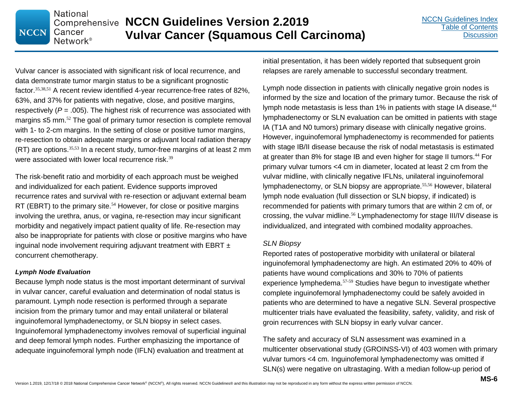Vulvar cancer is associated with significant risk of local recurrence, and data demonstrate tumor margin status to be a significant prognostic factor.35,38,51 A recent review identified 4-year recurrence-free rates of 82%, 63%, and 37% for patients with negative, close, and positive margins, respectively (*P* = .005). The highest risk of recurrence was associated with margins ≤5 mm.<sup>52</sup> The goal of primary tumor resection is complete removal with 1- to 2-cm margins. In the setting of close or positive tumor margins, re-resection to obtain adequate margins or adjuvant local radiation therapy  $(RT)$  are options.<sup>35,53</sup> In a recent study, tumor-free margins of at least 2 mm were associated with lower local recurrence risk.<sup>39</sup>

**Comprehensive NCCN Guidelines Version 2.2019** 

**Vulvar Cancer (Squamous Cell Carcinoma)**

The risk-benefit ratio and morbidity of each approach must be weighed and individualized for each patient. Evidence supports improved recurrence rates and survival with re-resection or adjuvant external beam RT (EBRT) to the primary site.<sup>54</sup> However, for close or positive margins involving the urethra, anus, or vagina, re-resection may incur significant morbidity and negatively impact patient quality of life. Re-resection may also be inappropriate for patients with close or positive margins who have inguinal node involvement requiring adjuvant treatment with EBRT  $\pm$ concurrent chemotherapy.

#### *Lymph Node Evaluation*

**National** 

Cancer Network<sup>®</sup>

**NCCN** 

Because lymph node status is the most important determinant of survival in vulvar cancer, careful evaluation and determination of nodal status is paramount. Lymph node resection is performed through a separate incision from the primary tumor and may entail unilateral or bilateral inguinofemoral lymphadenectomy, or SLN biopsy in select cases. Inguinofemoral lymphadenectomy involves removal of superficial inguinal and deep femoral lymph nodes. Further emphasizing the importance of adequate inguinofemoral lymph node (IFLN) evaluation and treatment at

initial presentation, it has been widely reported that subsequent groin relapses are rarely amenable to successful secondary treatment.

Lymph node dissection in patients with clinically negative groin nodes is informed by the size and location of the primary tumor. Because the risk of lymph node metastasis is less than 1% in patients with stage IA disease,<sup>44</sup> lymphadenectomy or SLN evaluation can be omitted in patients with stage IA (T1A and N0 tumors) primary disease with clinically negative groins. However, inguinofemoral lymphadenectomy is recommended for patients with stage IB/II disease because the risk of nodal metastasis is estimated at greater than 8% for stage IB and even higher for stage II tumors. <sup>44</sup> For primary vulvar tumors <4 cm in diameter, located at least 2 cm from the vulvar midline, with clinically negative IFLNs, unilateral inguinofemoral lymphadenectomy, or SLN biopsy are appropriate.55,56 However, bilateral lymph node evaluation (full dissection or SLN biopsy, if indicated) is recommended for patients with primary tumors that are within 2 cm of, or crossing, the vulvar midline.<sup>56</sup> Lymphadenectomy for stage III/IV disease is individualized, and integrated with combined modality approaches.

#### *SLN Biopsy*

Reported rates of postoperative morbidity with unilateral or bilateral inguinofemoral lymphadenectomy are high. An estimated 20% to 40% of patients have wound complications and 30% to 70% of patients experience lymphedema.57-59 Studies have begun to investigate whether complete inguinofemoral lymphadenectomy could be safely avoided in patients who are determined to have a negative SLN. Several prospective multicenter trials have evaluated the feasibility, safety, validity, and risk of groin recurrences with SLN biopsy in early vulvar cancer.

The safety and accuracy of SLN assessment was examined in a multicenter observational study (GROINSS-VI) of 403 women with primary vulvar tumors <4 cm. Inguinofemoral lymphadenectomy was omitted if SLN(s) were negative on ultrastaging. With a median follow-up period of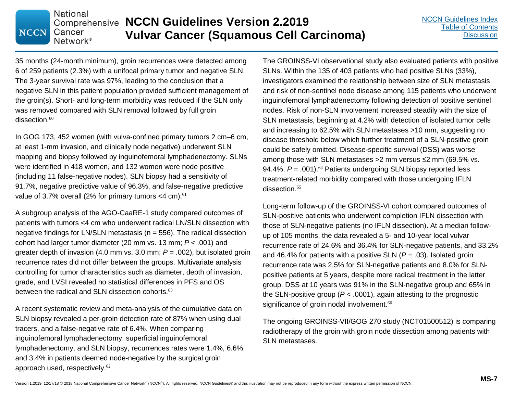35 months (24-month minimum), groin recurrences were detected among 6 of 259 patients (2.3%) with a unifocal primary tumor and negative SLN. The 3-year survival rate was 97%, leading to the conclusion that a negative SLN in this patient population provided sufficient management of the groin(s). Short- and long-term morbidity was reduced if the SLN only was removed compared with SLN removal followed by full groin  $dissection<sup>60</sup>$ 

**National** 

Cancer Network<sup>®</sup>

**NCCN** 

**Comprehensive NCCN Guidelines Version 2.2019** 

**Vulvar Cancer (Squamous Cell Carcinoma)**

In GOG 173, 452 women (with vulva-confined primary tumors 2 cm–6 cm, at least 1-mm invasion, and clinically node negative) underwent SLN mapping and biopsy followed by inguinofemoral lymphadenectomy. SLNs were identified in 418 women, and 132 women were node positive (including 11 false-negative nodes). SLN biopsy had a sensitivity of 91.7%, negative predictive value of 96.3%, and false-negative predictive value of 3.7% overall (2% for primary tumors  $<$  4 cm).  $61$ 

A subgroup analysis of the AGO-CaaRE-1 study compared outcomes of patients with tumors <4 cm who underwent radical LN/SLN dissection with negative findings for LN/SLN metastasis ( $n = 556$ ). The radical dissection cohort had larger tumor diameter (20 mm vs. 13 mm; *P* < .001) and greater depth of invasion (4.0 mm vs. 3.0 mm; *P* = .002), but isolated groin recurrence rates did not differ between the groups. Multivariate analysis controlling for tumor characteristics such as diameter, depth of invasion, grade, and LVSI revealed no statistical differences in PFS and OS between the radical and SLN dissection cohorts.<sup>63</sup>

A recent systematic review and meta-analysis of the cumulative data on SLN biopsy revealed a per-groin detection rate of 87% when using dual tracers, and a false-negative rate of 6.4%. When comparing inguinofemoral lymphadenectomy, superficial inguinofemoral lymphadenectomy, and SLN biopsy, recurrences rates were 1.4%, 6.6%, and 3.4% in patients deemed node-negative by the surgical groin approach used, respectively.<sup>62</sup>

The GROINSS-VI observational study also evaluated patients with positive SLNs. Within the 135 of 403 patients who had positive SLNs (33%), investigators examined the relationship between size of SLN metastasis and risk of non-sentinel node disease among 115 patients who underwent inguinofemoral lymphadenectomy following detection of positive sentinel nodes. Risk of non-SLN involvement increased steadily with the size of SLN metastasis, beginning at 4.2% with detection of isolated tumor cells and increasing to 62.5% with SLN metastases >10 mm, suggesting no disease threshold below which further treatment of a SLN-positive groin could be safely omitted. Disease-specific survival (DSS) was worse among those with SLN metastases >2 mm versus ≤2 mm (69.5% vs. 94.4%,  $P = .001$ ).<sup>64</sup> Patients undergoing SLN biopsy reported less treatment-related morbidity compared with those undergoing IFLN dissection. 65

Long-term follow-up of the GROINSS-VI cohort compared outcomes of SLN-positive patients who underwent completion IFLN dissection with those of SLN-negative patients (no IFLN dissection). At a median followup of 105 months, the data revealed a 5- and 10-year local vulvar recurrence rate of 24.6% and 36.4% for SLN-negative patients, and 33.2% and 46.4% for patients with a positive SLN  $(P = .03)$ . Isolated groin recurrence rate was 2.5% for SLN-negative patients and 8.0% for SLNpositive patients at 5 years, despite more radical treatment in the latter group. DSS at 10 years was 91% in the SLN-negative group and 65% in the SLN-positive group (*P* < .0001), again attesting to the prognostic significance of groin nodal involvement.<sup>66</sup>

The ongoing GROINSS-VII/GOG 270 study (NCT01500512) is comparing radiotherapy of the groin with groin node dissection among patients with SLN metastases.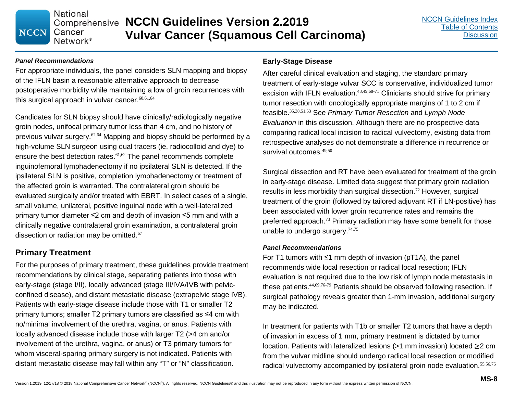#### *Panel Recommendations*

For appropriate individuals, the panel considers SLN mapping and biopsy of the IFLN basin a reasonable alternative approach to decrease postoperative morbidity while maintaining a low of groin recurrences with this surgical approach in vulvar cancer. $60,61,64$ 

Candidates for SLN biopsy should have clinically/radiologically negative groin nodes, unifocal primary tumor less than 4 cm, and no history of previous vulvar surgery.62,64 Mapping and biopsy should be performed by a high-volume SLN surgeon using dual tracers (ie, radiocolloid and dye) to ensure the best detection rates.<sup>61,62</sup> The panel recommends complete inguinofemoral lymphadenectomy if no ipsilateral SLN is detected. If the ipsilateral SLN is positive, completion lymphadenectomy or treatment of the affected groin is warranted. The contralateral groin should be evaluated surgically and/or treated with EBRT. In select cases of a single, small volume, unilateral, positive inguinal node with a well-lateralized primary tumor diameter ≤2 cm and depth of invasion ≤5 mm and with a clinically negative contralateral groin examination, a contralateral groin dissection or radiation may be omitted.<sup>67</sup>

#### **Primary Treatment**

For the purposes of primary treatment, these guidelines provide treatment recommendations by clinical stage, separating patients into those with early-stage (stage I/II), locally advanced (stage III/IVA/IVB with pelvicconfined disease), and distant metastatic disease (extrapelvic stage IVB). Patients with early-stage disease include those with T1 or smaller T2 primary tumors; smaller T2 primary tumors are classified as ≤4 cm with no/minimal involvement of the urethra, vagina, or anus. Patients with locally advanced disease include those with larger T2 (>4 cm and/or involvement of the urethra, vagina, or anus) or T3 primary tumors for whom visceral-sparing primary surgery is not indicated. Patients with distant metastatic disease may fall within any "T" or "N" classification.

#### **Early-Stage Disease**

After careful clinical evaluation and staging, the standard primary treatment of early-stage vulvar SCC is conservative, individualized tumor excision with IFLN evaluation. $43,49,68-71$  Clinicians should strive for primary tumor resection with oncologically appropriate margins of 1 to 2 cm if feasible.35,38,51,53 See *Primary Tumor Resection* and *Lymph Node Evaluation* in this discussion. Although there are no prospective data comparing radical local incision to radical vulvectomy, existing data from retrospective analyses do not demonstrate a difference in recurrence or survival outcomes.<sup>49,50</sup>

Surgical dissection and RT have been evaluated for treatment of the groin in early-stage disease. Limited data suggest that primary groin radiation results in less morbidity than surgical dissection.<sup>72</sup> However, surgical treatment of the groin (followed by tailored adjuvant RT if LN-positive) has been associated with lower groin recurrence rates and remains the preferred approach.<sup>73</sup> Primary radiation may have some benefit for those unable to undergo surgery.  $74,75$ 

#### *Panel Recommendations*

For T1 tumors with ≤1 mm depth of invasion (pT1A), the panel recommends wide local resection or radical local resection; IFLN evaluation is not required due to the low risk of lymph node metastasis in these patients.<sup>44,69,76-79</sup> Patients should be observed following resection. If surgical pathology reveals greater than 1-mm invasion, additional surgery may be indicated.

In treatment for patients with T1b or smaller T2 tumors that have a depth of invasion in excess of 1 mm, primary treatment is dictated by tumor location. Patients with lateralized lesions (>1 mm invasion) located ≥2 cm from the vulvar midline should undergo radical local resection or modified radical vulvectomy accompanied by ipsilateral groin node evaluation.<sup>55,56,76</sup>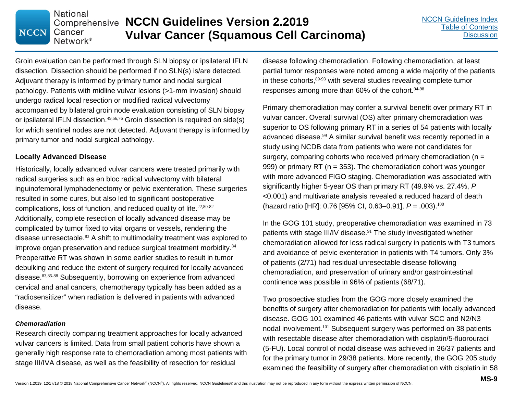Groin evaluation can be performed through SLN biopsy or ipsilateral IFLN dissection. Dissection should be performed if no SLN(s) is/are detected. Adjuvant therapy is informed by primary tumor and nodal surgical pathology. Patients with midline vulvar lesions (>1-mm invasion) should undergo radical local resection or modified radical vulvectomy accompanied by bilateral groin node evaluation consisting of SLN biopsy or ipsilateral IFLN dissection. $49,56,76$  Groin dissection is required on side(s) for which sentinel nodes are not detected. Adjuvant therapy is informed by primary tumor and nodal surgical pathology.

**Comprehensive NCCN Guidelines Version 2.2019** 

**Vulvar Cancer (Squamous Cell Carcinoma)**

#### **Locally Advanced Disease**

**National** 

Cancer Network<sup>®</sup>

**NCCN** 

Historically, locally advanced vulvar cancers were treated primarily with radical surgeries such as en bloc radical vulvectomy with bilateral inguinofemoral lymphadenectomy or pelvic exenteration. These surgeries resulted in some cures, but also led to significant postoperative complications, loss of function, and reduced quality of life.<sup>22,80-82</sup> Additionally, complete resection of locally advanced disease may be complicated by tumor fixed to vital organs or vessels, rendering the disease unresectable.<sup>83</sup> A shift to multimodality treatment was explored to improve organ preservation and reduce surgical treatment morbidity.<sup>84</sup> Preoperative RT was shown in some earlier studies to result in tumor debulking and reduce the extent of surgery required for locally advanced disease.83,85-88 Subsequently, borrowing on experience from advanced cervical and anal cancers, chemotherapy typically has been added as a "radiosensitizer" when radiation is delivered in patients with advanced disease.

#### *Chemoradiation*

Research directly comparing treatment approaches for locally advanced vulvar cancers is limited. Data from small patient cohorts have shown a generally high response rate to chemoradiation among most patients with stage III/IVA disease, as well as the feasibility of resection for residual

disease following chemoradiation. Following chemoradiation, at least partial tumor responses were noted among a wide majority of the patients in these cohorts, <sup>89-93</sup> with several studies revealing complete tumor responses among more than  $60\%$  of the cohort.  $94-98$ 

Primary chemoradiation may confer a survival benefit over primary RT in vulvar cancer. Overall survival (OS) after primary chemoradiation was superior to OS following primary RT in a series of 54 patients with locally advanced disease.<sup>99</sup> A similar survival benefit was recently reported in a study using NCDB data from patients who were not candidates for surgery, comparing cohorts who received primary chemoradiation (n = 999) or primary RT (n = 353). The chemoradiation cohort was younger with more advanced FIGO staging. Chemoradiation was associated with significantly higher 5-year OS than primary RT (49.9% vs. 27.4%, *P* <0.001) and multivariate analysis revealed a reduced hazard of death (hazard ratio [HR]: 0.76 [95% CI, 0.63–0.91], *P* = .003). 100

In the GOG 101 study, preoperative chemoradiation was examined in 73 patients with stage III/IV disease.<sup>91</sup> The study investigated whether chemoradiation allowed for less radical surgery in patients with T3 tumors and avoidance of pelvic exenteration in patients with T4 tumors. Only 3% of patients (2/71) had residual unresectable disease following chemoradiation, and preservation of urinary and/or gastrointestinal continence was possible in 96% of patients (68/71).

Two prospective studies from the GOG more closely examined the benefits of surgery after chemoradiation for patients with locally advanced disease. GOG 101 examined 46 patients with vulvar SCC and N2/N3 nodal involvement.<sup>101</sup> Subsequent surgery was performed on 38 patients with resectable disease after chemoradiation with cisplatin/5-fluorouracil (5-FU). Local control of nodal disease was achieved in 36/37 patients and for the primary tumor in 29/38 patients. More recently, the GOG 205 study examined the feasibility of surgery after chemoradiation with cisplatin in 58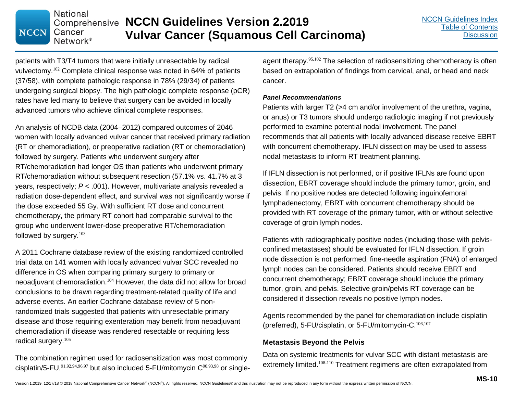# **NCCN**

**National** 

Cancer

#### **Comprehensive NCCN Guidelines Version 2.2019 Vulvar Cancer (Squamous Cell Carcinoma)** Network<sup>®</sup>

patients with T3/T4 tumors that were initially unresectable by radical vulvectomy.<sup>102</sup> Complete clinical response was noted in 64% of patients (37/58), with complete pathologic response in 78% (29/34) of patients undergoing surgical biopsy. The high pathologic complete response (pCR) rates have led many to believe that surgery can be avoided in locally advanced tumors who achieve clinical complete responses.

An analysis of NCDB data (2004–2012) compared outcomes of 2046 women with locally advanced vulvar cancer that received primary radiation (RT or chemoradiation), or preoperative radiation (RT or chemoradiation) followed by surgery. Patients who underwent surgery after RT/chemoradiation had longer OS than patients who underwent primary RT/chemoradiation without subsequent resection (57.1% vs. 41.7% at 3 years, respectively; *P* < .001). However, multivariate analysis revealed a radiation dose-dependent effect, and survival was not significantly worse if the dose exceeded 55 Gy. With sufficient RT dose and concurrent chemotherapy, the primary RT cohort had comparable survival to the group who underwent lower-dose preoperative RT/chemoradiation followed by surgery.<sup>103</sup>

A 2011 Cochrane database review of the existing randomized controlled trial data on 141 women with locally advanced vulvar SCC revealed no difference in OS when comparing primary surgery to primary or neoadjuvant chemoradiation. <sup>104</sup> However, the data did not allow for broad conclusions to be drawn regarding treatment-related quality of life and adverse events. An earlier Cochrane database review of 5 nonrandomized trials suggested that patients with unresectable primary disease and those requiring exenteration may benefit from neoadjuvant chemoradiation if disease was rendered resectable or requiring less radical surgery. 105

The combination regimen used for radiosensitization was most commonly cisplatin/5-FU, $91,92,94,96,97$  but also included 5-FU/mitomycin  $C^{90,93,98}$  or singleagent therapy.<sup>95,102</sup> The selection of radiosensitizing chemotherapy is often based on extrapolation of findings from cervical, anal, or head and neck cancer.

#### *Panel Recommendations*

Patients with larger T2 (>4 cm and/or involvement of the urethra, vagina, or anus) or T3 tumors should undergo radiologic imaging if not previously performed to examine potential nodal involvement. The panel recommends that all patients with locally advanced disease receive EBRT with concurrent chemotherapy. IFLN dissection may be used to assess nodal metastasis to inform RT treatment planning.

If IFLN dissection is not performed, or if positive IFLNs are found upon dissection, EBRT coverage should include the primary tumor, groin, and pelvis. If no positive nodes are detected following inguinofemoral lymphadenectomy, EBRT with concurrent chemotherapy should be provided with RT coverage of the primary tumor, with or without selective coverage of groin lymph nodes.

Patients with radiographically positive nodes (including those with pelvisconfined metastases) should be evaluated for IFLN dissection. If groin node dissection is not performed, fine-needle aspiration (FNA) of enlarged lymph nodes can be considered. Patients should receive EBRT and concurrent chemotherapy; EBRT coverage should include the primary tumor, groin, and pelvis. Selective groin/pelvis RT coverage can be considered if dissection reveals no positive lymph nodes.

Agents recommended by the panel for chemoradiation include cisplatin (preferred), 5-FU/cisplatin, or 5-FU/mitomycin-C.106,107

#### **Metastasis Beyond the Pelvis**

Data on systemic treatments for vulvar SCC with distant metastasis are extremely limited.<sup>108-110</sup> Treatment regimens are often extrapolated from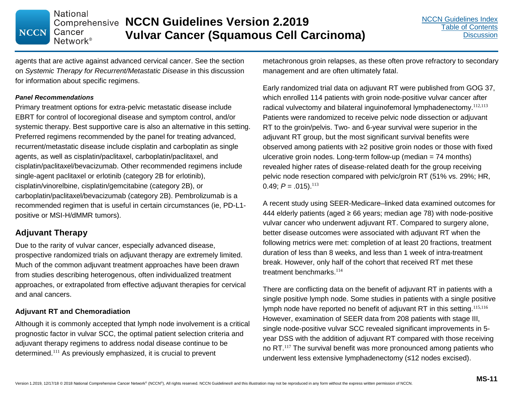**Comprehensive NCCN Guidelines Version 2.2019 Vulvar Cancer (Squamous Cell Carcinoma)**

agents that are active against advanced cervical cancer. See the section on *Systemic Therapy for Recurrent/Metastatic Disease* in this discussion for information about specific regimens.

#### *Panel Recommendations*

**NCCN** 

**National** 

Cancer Network<sup>®</sup>

Primary treatment options for extra-pelvic metastatic disease include EBRT for control of locoregional disease and symptom control, and/or systemic therapy. Best supportive care is also an alternative in this setting. Preferred regimens recommended by the panel for treating advanced, recurrent/metastatic disease include cisplatin and carboplatin as single agents, as well as cisplatin/paclitaxel, carboplatin/paclitaxel, and cisplatin/paclitaxel/bevacizumab. Other recommended regimens include single-agent paclitaxel or erlotinib (category 2B for erlotinib), cisplatin/vinorelbine, cisplatin/gemcitabine (category 2B), or carboplatin/paclitaxel/bevacizumab (category 2B). Pembrolizumab is a recommended regimen that is useful in certain circumstances (ie, PD-L1 positive or MSI-H/dMMR tumors).

#### **Adjuvant Therapy**

Due to the rarity of vulvar cancer, especially advanced disease, prospective randomized trials on adjuvant therapy are extremely limited. Much of the common adjuvant treatment approaches have been drawn from studies describing heterogenous, often individualized treatment approaches, or extrapolated from effective adjuvant therapies for cervical and anal cancers.

#### **Adjuvant RT and Chemoradiation**

Although it is commonly accepted that lymph node involvement is a critical prognostic factor in vulvar SCC, the optimal patient selection criteria and adjuvant therapy regimens to address nodal disease continue to be determined. <sup>111</sup> As previously emphasized, it is crucial to prevent

metachronous groin relapses, as these often prove refractory to secondary management and are often ultimately fatal.

Early randomized trial data on adjuvant RT were published from GOG 37, which enrolled 114 patients with groin node-positive vulvar cancer after radical vulvectomy and bilateral inguinofemoral lymphadenectomy.<sup>112,113</sup> Patients were randomized to receive pelvic node dissection or adjuvant RT to the groin/pelvis. Two- and 6-year survival were superior in the adjuvant RT group, but the most significant survival benefits were observed among patients with ≥2 positive groin nodes or those with fixed ulcerative groin nodes. Long-term follow-up (median = 74 months) revealed higher rates of disease-related death for the group receiving pelvic node resection compared with pelvic/groin RT (51% vs. 29%; HR, 0.49;  $P = .015$ ).<sup>113</sup>

A recent study using SEER-Medicare–linked data examined outcomes for 444 elderly patients (aged  $\geq$  66 years; median age 78) with node-positive vulvar cancer who underwent adjuvant RT. Compared to surgery alone, better disease outcomes were associated with adjuvant RT when the following metrics were met: completion of at least 20 fractions, treatment duration of less than 8 weeks, and less than 1 week of intra-treatment break. However, only half of the cohort that received RT met these treatment benchmarks.<sup>114</sup>

There are conflicting data on the benefit of adjuvant RT in patients with a single positive lymph node. Some studies in patients with a single positive lymph node have reported no benefit of adjuvant RT in this setting.<sup>115,116</sup> However, examination of SEER data from 208 patients with stage III, single node-positive vulvar SCC revealed significant improvements in 5 year DSS with the addition of adjuvant RT compared with those receiving no RT.<sup>117</sup> The survival benefit was more pronounced among patients who underwent less extensive lymphadenectomy (≤12 nodes excised).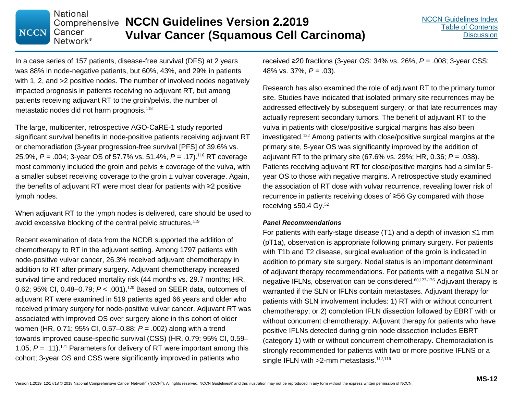In a case series of 157 patients, disease-free survival (DFS) at 2 years was 88% in node-negative patients, but 60%, 43%, and 29% in patients with 1, 2, and  $>2$  positive nodes. The number of involved nodes negatively impacted prognosis in patients receiving no adjuvant RT, but among patients receiving adjuvant RT to the groin/pelvis, the number of metastatic nodes did not harm prognosis.<sup>118</sup>

**National** 

Cancer Network<sup>®</sup>

**NCCN** 

**Comprehensive NCCN Guidelines Version 2.2019** 

**Vulvar Cancer (Squamous Cell Carcinoma)**

The large, multicenter, retrospective AGO-CaRE-1 study reported significant survival benefits in node-positive patients receiving adjuvant RT or chemoradiation (3-year progression-free survival [PFS] of 39.6% vs. 25.9%, *P* = .004; 3-year OS of 57.7% vs. 51.4%, *P* = .17).<sup>116</sup> RT coverage most commonly included the groin and pelvis  $\pm$  coverage of the vulva, with a smaller subset receiving coverage to the groin ± vulvar coverage. Again, the benefits of adjuvant RT were most clear for patients with ≥2 positive lymph nodes.

When adjuvant RT to the lymph nodes is delivered, care should be used to avoid excessive blocking of the central pelvic structures.<sup>119</sup>

Recent examination of data from the NCDB supported the addition of chemotherapy to RT in the adjuvant setting. Among 1797 patients with node-positive vulvar cancer, 26.3% received adjuvant chemotherapy in addition to RT after primary surgery. Adjuvant chemotherapy increased survival time and reduced mortality risk (44 months vs. 29.7 months; HR, 0.62; 95% CI, 0.48–0.79; *P* < .001).<sup>120</sup> Based on SEER data, outcomes of adjuvant RT were examined in 519 patients aged 66 years and older who received primary surgery for node-positive vulvar cancer. Adjuvant RT was associated with improved OS over surgery alone in this cohort of older women (HR, 0.71; 95% CI, 0.57–0.88; *P* = .002) along with a trend towards improved cause-specific survival (CSS) (HR, 0.79; 95% CI, 0.59– 1.05;  $P = .11$ ).<sup>121</sup> Parameters for delivery of RT were important among this cohort; 3-year OS and CSS were significantly improved in patients who

received ≥20 fractions (3-year OS: 34% vs. 26%, *P* = .008; 3-year CSS: 48% vs. 37%, *P* = .03).

Research has also examined the role of adjuvant RT to the primary tumor site. Studies have indicated that isolated primary site recurrences may be addressed effectively by subsequent surgery, or that late recurrences may actually represent secondary tumors. The benefit of adjuvant RT to the vulva in patients with close/positive surgical margins has also been investigated.<sup>122</sup> Among patients with close/positive surgical margins at the primary site, 5-year OS was significantly improved by the addition of adjuvant RT to the primary site (67.6% vs. 29%; HR, 0.36; *P* = .038). Patients receiving adjuvant RT for close/positive margins had a similar 5 year OS to those with negative margins. A retrospective study examined the association of RT dose with vulvar recurrence, revealing lower risk of recurrence in patients receiving doses of ≥56 Gy compared with those receiving ≤50.4 Gy. $52$ 

#### *Panel Recommendations*

For patients with early-stage disease (T1) and a depth of invasion ≤1 mm (pT1a), observation is appropriate following primary surgery. For patients with T1b and T2 disease, surgical evaluation of the groin is indicated in addition to primary site surgery. Nodal status is an important determinant of adjuvant therapy recommendations. For patients with a negative SLN or negative IFLNs, observation can be considered.<sup>60,123-126</sup> Adjuvant therapy is warranted if the SLN or IFLNs contain metastases. Adjuvant therapy for patients with SLN involvement includes: 1) RT with or without concurrent chemotherapy; or 2) completion IFLN dissection followed by EBRT with or without concurrent chemotherapy. Adjuvant therapy for patients who have positive IFLNs detected during groin node dissection includes EBRT (category 1) with or without concurrent chemotherapy. Chemoradiation is strongly recommended for patients with two or more positive IFLNS or a single IFLN with  $>2$ -mm metastasis.<sup>112,116</sup>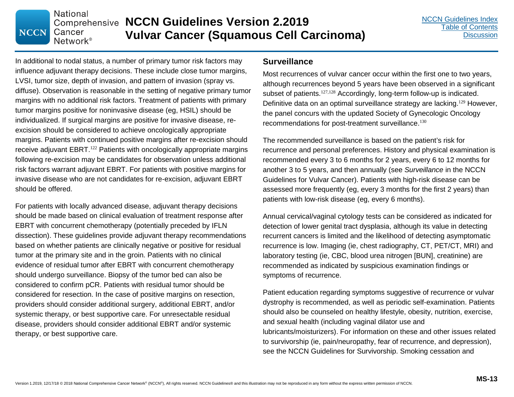In additional to nodal status, a number of primary tumor risk factors may influence adjuvant therapy decisions. These include close tumor margins, LVSI, tumor size, depth of invasion, and pattern of invasion (spray vs. diffuse). Observation is reasonable in the setting of negative primary tumor margins with no additional risk factors. Treatment of patients with primary tumor margins positive for noninvasive disease (eg, HSIL) should be individualized. If surgical margins are positive for invasive disease, reexcision should be considered to achieve oncologically appropriate margins. Patients with continued positive margins after re-excision should receive adjuvant EBRT.<sup>122</sup> Patients with oncologically appropriate margins following re-excision may be candidates for observation unless additional risk factors warrant adjuvant EBRT. For patients with positive margins for invasive disease who are not candidates for re-excision, adjuvant EBRT should be offered.

**National** 

Cancer Network<sup>®</sup>

**NCCN** 

**Comprehensive NCCN Guidelines Version 2.2019** 

For patients with locally advanced disease, adjuvant therapy decisions should be made based on clinical evaluation of treatment response after EBRT with concurrent chemotherapy (potentially preceded by IFLN dissection). These guidelines provide adjuvant therapy recommendations based on whether patients are clinically negative or positive for residual tumor at the primary site and in the groin. Patients with no clinical evidence of residual tumor after EBRT with concurrent chemotherapy should undergo surveillance. Biopsy of the tumor bed can also be considered to confirm pCR. Patients with residual tumor should be considered for resection. In the case of positive margins on resection, providers should consider additional surgery, additional EBRT, and/or systemic therapy, or best supportive care. For unresectable residual disease, providers should consider additional EBRT and/or systemic therapy, or best supportive care.

#### **Surveillance**

**Vulvar Cancer (Squamous Cell Carcinoma)**

Most recurrences of vulvar cancer occur within the first one to two years, although recurrences beyond 5 years have been observed in a significant subset of patients.<sup>127,128</sup> Accordingly, long-term follow-up is indicated. Definitive data on an optimal surveillance strategy are lacking.<sup>129</sup> However, the panel concurs with the updated Society of Gynecologic Oncology recommendations for post-treatment surveillance.<sup>130</sup>

The recommended surveillance is based on the patient's risk for recurrence and personal preferences. History and physical examination is recommended every 3 to 6 months for 2 years, every 6 to 12 months for another 3 to 5 years, and then annually (see *Surveillance* in the NCCN Guidelines for Vulvar Cancer). Patients with high-risk disease can be assessed more frequently (eg, every 3 months for the first 2 years) than patients with low-risk disease (eg, every 6 months).

Annual cervical/vaginal cytology tests can be considered as indicated for detection of lower genital tract dysplasia, although its value in detecting recurrent cancers is limited and the likelihood of detecting asymptomatic recurrence is low. Imaging (ie, chest radiography, CT, PET/CT, MRI) and laboratory testing (ie, CBC, blood urea nitrogen [BUN], creatinine) are recommended as indicated by suspicious examination findings or symptoms of recurrence.

Patient education regarding symptoms suggestive of recurrence or vulvar dystrophy is recommended, as well as periodic self-examination. Patients should also be counseled on healthy lifestyle, obesity, nutrition, exercise, and sexual health (including vaginal dilator use and lubricants/moisturizers). For information on these and other issues related to survivorship (ie, pain/neuropathy, fear of recurrence, and depression), see the NCCN Guidelines for Survivorship. Smoking cessation and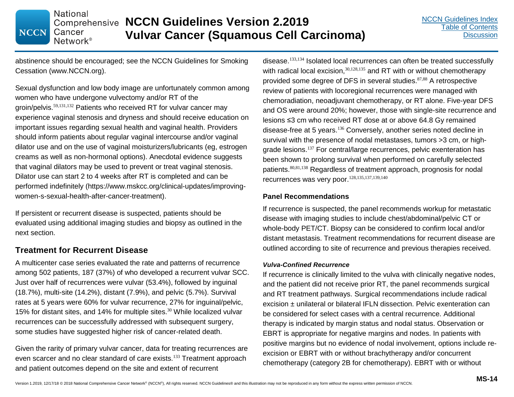**National Comprehensive NCCN Guidelines Version 2.2019** Cancer **Vulvar Cancer (Squamous Cell Carcinoma)** Network<sup>®</sup>

abstinence should be encouraged; see the NCCN Guidelines for Smoking Cessation (www.NCCN.org).

Sexual dysfunction and low body image are unfortunately common among women who have undergone vulvectomy and/or RT of the groin/pelvis.<sup>59,131,132</sup> Patients who received RT for vulvar cancer may experience vaginal stenosis and dryness and should receive education on important issues regarding sexual health and vaginal health. Providers should inform patients about regular vaginal intercourse and/or vaginal dilator use and on the use of vaginal moisturizers/lubricants (eg, estrogen creams as well as non-hormonal options). Anecdotal evidence suggests that vaginal dilators may be used to prevent or treat vaginal stenosis. Dilator use can start 2 to 4 weeks after RT is completed and can be performed indefinitely (https://www.mskcc.org/clinical-updates/improvingwomen-s-sexual-health-after-cancer-treatment).

If persistent or recurrent disease is suspected, patients should be evaluated using additional imaging studies and biopsy as outlined in the next section.

#### **Treatment for Recurrent Disease**

**NCCN** 

A multicenter case series evaluated the rate and patterns of recurrence among 502 patients, 187 (37%) of who developed a recurrent vulvar SCC. Just over half of recurrences were vulvar (53.4%), followed by inguinal (18.7%), multi-site (14.2%), distant (7.9%), and pelvic (5.7%). Survival rates at 5 years were 60% for vulvar recurrence, 27% for inguinal/pelvic, 15% for distant sites, and 14% for multiple sites. <sup>30</sup> While localized vulvar recurrences can be successfully addressed with subsequent surgery, some studies have suggested higher risk of cancer-related death.

Given the rarity of primary vulvar cancer, data for treating recurrences are even scarcer and no clear standard of care exists.<sup>133</sup> Treatment approach and patient outcomes depend on the site and extent of recurrent

disease.133,134 Isolated local recurrences can often be treated successfully with radical local excision, $30,128,135$  and RT with or without chemotherapy provided some degree of DFS in several studies.87,88 A retrospective review of patients with locoregional recurrences were managed with chemoradiation, neoadjuvant chemotherapy, or RT alone. Five-year DFS and OS were around 20%; however, those with single-site recurrence and lesions ≤3 cm who received RT dose at or above 64.8 Gy remained disease-free at 5 years.<sup>136</sup> Conversely, another series noted decline in survival with the presence of nodal metastases, tumors >3 cm, or highgrade lesions.<sup>137</sup> For central/large recurrences, pelvic exenteration has been shown to prolong survival when performed on carefully selected patients.80,81,138 Regardless of treatment approach, prognosis for nodal recurrences was very poor.<sup>128,135,137,139,140</sup>

#### **Panel Recommendations**

If recurrence is suspected, the panel recommends workup for metastatic disease with imaging studies to include chest/abdominal/pelvic CT or whole-body PET/CT. Biopsy can be considered to confirm local and/or distant metastasis. Treatment recommendations for recurrent disease are outlined according to site of recurrence and previous therapies received.

#### *Vulva-Confined Recurrence*

If recurrence is clinically limited to the vulva with clinically negative nodes, and the patient did not receive prior RT, the panel recommends surgical and RT treatment pathways. Surgical recommendations include radical excision ± unilateral or bilateral IFLN dissection. Pelvic exenteration can be considered for select cases with a central recurrence. Additional therapy is indicated by margin status and nodal status. Observation or EBRT is appropriate for negative margins and nodes. In patients with positive margins but no evidence of nodal involvement, options include reexcision or EBRT with or without brachytherapy and/or concurrent chemotherapy (category 2B for chemotherapy). EBRT with or without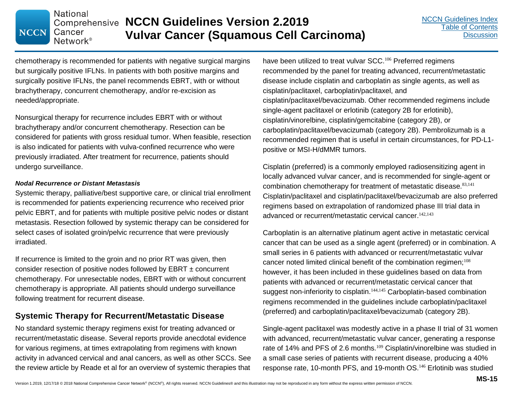chemotherapy is recommended for patients with negative surgical margins but surgically positive IFLNs. In patients with both positive margins and surgically positive IFLNs, the panel recommends EBRT, with or without brachytherapy, concurrent chemotherapy, and/or re-excision as needed/appropriate.

**Comprehensive NCCN Guidelines Version 2.2019** 

**Vulvar Cancer (Squamous Cell Carcinoma)**

Nonsurgical therapy for recurrence includes EBRT with or without brachytherapy and/or concurrent chemotherapy. Resection can be considered for patients with gross residual tumor. When feasible, resection is also indicated for patients with vulva-confined recurrence who were previously irradiated. After treatment for recurrence, patients should undergo surveillance.

#### *Nodal Recurrence or Distant Metastasis*

**National** 

Cancer Network<sup>®</sup>

**NCCN** 

Systemic therapy, palliative/best supportive care, or clinical trial enrollment is recommended for patients experiencing recurrence who received prior pelvic EBRT, and for patients with multiple positive pelvic nodes or distant metastasis. Resection followed by systemic therapy can be considered for select cases of isolated groin/pelvic recurrence that were previously irradiated.

If recurrence is limited to the groin and no prior RT was given, then consider resection of positive nodes followed by EBRT ± concurrent chemotherapy. For unresectable nodes, EBRT with or without concurrent chemotherapy is appropriate. All patients should undergo surveillance following treatment for recurrent disease.

#### **Systemic Therapy for Recurrent/Metastatic Disease**

No standard systemic therapy regimens exist for treating advanced or recurrent/metastatic disease. Several reports provide anecdotal evidence for various regimens, at times extrapolating from regimens with known activity in advanced cervical and anal cancers, as well as other SCCs. See the review article by Reade et al for an overview of systemic therapies that

have been utilized to treat vulvar SCC.<sup>106</sup> Preferred regimens recommended by the panel for treating advanced, recurrent/metastatic disease include cisplatin and carboplatin as single agents, as well as cisplatin/paclitaxel, carboplatin/paclitaxel, and cisplatin/paclitaxel/bevacizumab. Other recommended regimens include single-agent paclitaxel or erlotinib (category 2B for erlotinib), cisplatin/vinorelbine, cisplatin/gemcitabine (category 2B), or carboplatin/paclitaxel/bevacizumab (category 2B). Pembrolizumab is a recommended regimen that is useful in certain circumstances, for PD-L1 positive or MSI-H/dMMR tumors.

Cisplatin (preferred) is a commonly employed radiosensitizing agent in locally advanced vulvar cancer, and is recommended for single-agent or combination chemotherapy for treatment of metastatic disease. 83,141 Cisplatin/paclitaxel and cisplatin/paclitaxel/bevacizumab are also preferred regimens based on extrapolation of randomized phase III trial data in advanced or recurrent/metastatic cervical cancer.<sup>142,143</sup>

Carboplatin is an alternative platinum agent active in metastatic cervical cancer that can be used as a single agent (preferred) or in combination. A small series in 6 patients with advanced or recurrent/metastatic vulvar cancer noted limited clinical benefit of the combination regimen;<sup>108</sup> however, it has been included in these guidelines based on data from patients with advanced or recurrent/metastatic cervical cancer that suggest non-inferiority to cisplatin.<sup>144,145</sup> Carboplatin-based combination regimens recommended in the guidelines include carboplatin/paclitaxel (preferred) and carboplatin/paclitaxel/bevacizumab (category 2B).

Single-agent paclitaxel was modestly active in a phase II trial of 31 women with advanced, recurrent/metastatic vulvar cancer, generating a response rate of 14% and PFS of 2.6 months.<sup>109</sup> Cisplatin/vinorelbine was studied in a small case series of patients with recurrent disease, producing a 40% response rate, 10-month PFS, and 19-month OS.<sup>146</sup> Erlotinib was studied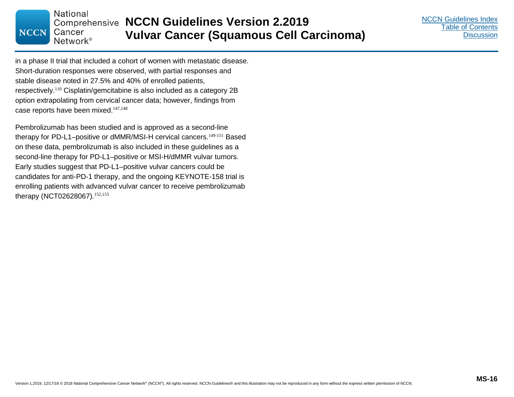in a phase II trial that included a cohort of women with metastatic disease. Short-duration responses were observed, with partial responses and stable disease noted in 27.5% and 40% of enrolled patients, respectively.<sup>110</sup> Cisplatin/gemcitabine is also included as a category 2B option extrapolating from cervical cancer data; however, findings from case reports have been mixed.<sup>147,148</sup>

Pembrolizumab has been studied and is approved as a second-line therapy for PD-L1–positive or dMMR/MSI-H cervical cancers. 149-151 Based on these data, pembrolizumab is also included in these guidelines as a second-line therapy for PD-L1–positive or MSI-H/dMMR vulvar tumors. Early studies suggest that PD-L1–positive vulvar cancers could be candidates for anti-PD-1 therapy, and the ongoing KEYNOTE-158 trial is enrolling patients with advanced vulvar cancer to receive pembrolizumab therapy (NCT02628067).152,153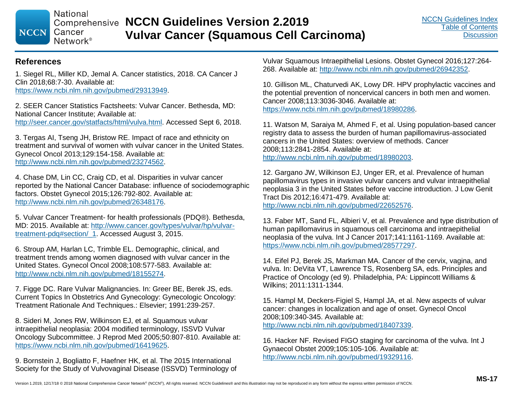**National NCCN** Cancer

Network<sup>®</sup>

**Comprehensive NCCN Guidelines Version 2.2019 Vulvar Cancer (Squamous Cell Carcinoma)**

#### **References**

1. Siegel RL, Miller KD, Jemal A. Cancer statistics, 2018. CA Cancer J Clin 2018;68:7-30. Available at: https://www.ncbi.nlm.nih.gov/pubmed/29313949.

2. SEER Cancer Statistics Factsheets: Vulvar Cancer. Bethesda, MD: National Cancer Institute; Available at: http://seer.cancer.gov/statfacts/html/vulva.html. Accessed Sept 6, 2018.

3. Tergas AI, Tseng JH, Bristow RE. Impact of race and ethnicity on treatment and survival of women with vulvar cancer in the United States. Gynecol Oncol 2013;129:154-158. Available at: http://www.ncbi.nlm.nih.gov/pubmed/23274562.

4. Chase DM, Lin CC, Craig CD, et al. Disparities in vulvar cancer reported by the National Cancer Database: influence of sociodemographic factors. Obstet Gynecol 2015;126:792-802. Available at: http://www.ncbi.nlm.nih.gov/pubmed/26348176.

5. Vulvar Cancer Treatment- for health professionals (PDQ®). Bethesda, MD: 2015. Available at: http://www.cancer.gov/types/vulvar/hp/vulvartreatment-pdq#section/\_1. Accessed August 3, 2015.

6. Stroup AM, Harlan LC, Trimble EL. Demographic, clinical, and treatment trends among women diagnosed with vulvar cancer in the United States. Gynecol Oncol 2008;108:577-583. Available at: http://www.ncbi.nlm.nih.gov/pubmed/18155274.

7. Figge DC. Rare Vulvar Malignancies. In: Greer BE, Berek JS, eds. Current Topics In Obstetrics And Gynecology: Gynecologic Oncology: Treatment Rationale And Techniques.: Elsevier; 1991:239-257.

8. Sideri M, Jones RW, Wilkinson EJ, et al. Squamous vulvar intraepithelial neoplasia: 2004 modified terminology, ISSVD Vulvar Oncology Subcommittee. J Reprod Med 2005;50:807-810. Available at: https://www.ncbi.nlm.nih.gov/pubmed/16419625.

9. Bornstein J, Bogliatto F, Haefner HK, et al. The 2015 International Society for the Study of Vulvovaginal Disease (ISSVD) Terminology of Vulvar Squamous Intraepithelial Lesions. Obstet Gynecol 2016;127:264- 268. Available at: http://www.ncbi.nlm.nih.gov/pubmed/26942352.

10. Gillison ML, Chaturvedi AK, Lowy DR. HPV prophylactic vaccines and the potential prevention of noncervical cancers in both men and women. Cancer 2008;113:3036-3046. Available at: https://www.ncbi.nlm.nih.gov/pubmed/18980286.

11. Watson M, Saraiya M, Ahmed F, et al. Using population-based cancer registry data to assess the burden of human papillomavirus-associated cancers in the United States: overview of methods. Cancer 2008;113:2841-2854. Available at: http://www.ncbi.nlm.nih.gov/pubmed/18980203.

12. Gargano JW, Wilkinson EJ, Unger ER, et al. Prevalence of human papillomavirus types in invasive vulvar cancers and vulvar intraepithelial neoplasia 3 in the United States before vaccine introduction. J Low Genit Tract Dis 2012;16:471-479. Available at:

http://www.ncbi.nlm.nih.gov/pubmed/22652576.

13. Faber MT, Sand FL, Albieri V, et al. Prevalence and type distribution of human papillomavirus in squamous cell carcinoma and intraepithelial neoplasia of the vulva. Int J Cancer 2017;141:1161-1169. Available at: https://www.ncbi.nlm.nih.gov/pubmed/28577297.

14. Eifel PJ, Berek JS, Markman MA. Cancer of the cervix, vagina, and vulva. In: DeVita VT, Lawrence TS, Rosenberg SA, eds. Principles and Practice of Oncology (ed 9). Philadelphia, PA: Lippincott Williams & Wilkins; 2011:1311-1344.

15. Hampl M, Deckers-Figiel S, Hampl JA, et al. New aspects of vulvar cancer: changes in localization and age of onset. Gynecol Oncol 2008;109:340-345. Available at:

http://www.ncbi.nlm.nih.gov/pubmed/18407339.

16. Hacker NF. Revised FIGO staging for carcinoma of the vulva. Int J Gynaecol Obstet 2009;105:105-106. Available at: http://www.ncbi.nlm.nih.gov/pubmed/19329116.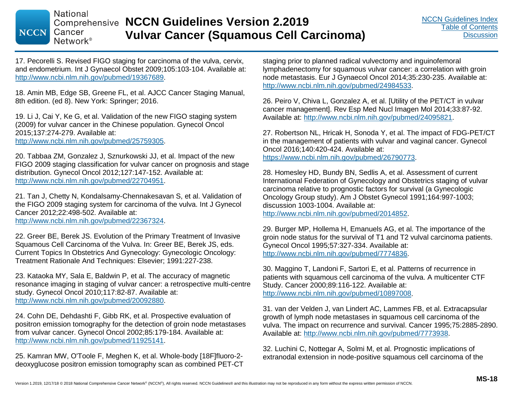**Comprehensive NCCN Guidelines Version 2.2019 Vulvar Cancer (Squamous Cell Carcinoma)**

17. Pecorelli S. Revised FIGO staging for carcinoma of the vulva, cervix, and endometrium. Int J Gynaecol Obstet 2009;105:103-104. Available at: http://www.ncbi.nlm.nih.gov/pubmed/19367689.

18. Amin MB, Edge SB, Greene FL, et al. AJCC Cancer Staging Manual, 8th edition. (ed 8). New York: Springer; 2016.

19. Li J, Cai Y, Ke G, et al. Validation of the new FIGO staging system (2009) for vulvar cancer in the Chinese population. Gynecol Oncol 2015;137:274-279. Available at: http://www.ncbi.nlm.nih.gov/pubmed/25759305.

20. Tabbaa ZM, Gonzalez J, Sznurkowski JJ, et al. Impact of the new FIGO 2009 staging classification for vulvar cancer on prognosis and stage distribution. Gynecol Oncol 2012;127:147-152. Available at: http://www.ncbi.nlm.nih.gov/pubmed/22704951.

21. Tan J, Chetty N, Kondalsamy-Chennakesavan S, et al. Validation of the FIGO 2009 staging system for carcinoma of the vulva. Int J Gynecol Cancer 2012;22:498-502. Available at: http://www.ncbi.nlm.nih.gov/pubmed/22367324.

22. Greer BE, Berek JS. Evolution of the Primary Treatment of Invasive Squamous Cell Carcinoma of the Vulva. In: Greer BE, Berek JS, eds. Current Topics In Obstetrics And Gynecology: Gynecologic Oncology: Treatment Rationale And Techniques: Elsevier; 1991:227-238.

23. Kataoka MY, Sala E, Baldwin P, et al. The accuracy of magnetic resonance imaging in staging of vulvar cancer: a retrospective multi-centre study. Gynecol Oncol 2010;117:82-87. Available at: http://www.ncbi.nlm.nih.gov/pubmed/20092880.

24. Cohn DE, Dehdashti F, Gibb RK, et al. Prospective evaluation of positron emission tomography for the detection of groin node metastases from vulvar cancer. Gynecol Oncol 2002;85:179-184. Available at: http://www.ncbi.nlm.nih.gov/pubmed/11925141.

25. Kamran MW, O'Toole F, Meghen K, et al. Whole-body [18F]fluoro-2 deoxyglucose positron emission tomography scan as combined PET-CT staging prior to planned radical vulvectomy and inguinofemoral lymphadenectomy for squamous vulvar cancer: a correlation with groin node metastasis. Eur J Gynaecol Oncol 2014;35:230-235. Available at: http://www.ncbi.nlm.nih.gov/pubmed/24984533.

26. Peiro V, Chiva L, Gonzalez A, et al. [Utility of the PET/CT in vulvar cancer management]. Rev Esp Med Nucl Imagen Mol 2014;33:87-92. Available at: http://www.ncbi.nlm.nih.gov/pubmed/24095821.

27. Robertson NL, Hricak H, Sonoda Y, et al. The impact of FDG-PET/CT in the management of patients with vulvar and vaginal cancer. Gynecol Oncol 2016;140:420-424. Available at: https://www.ncbi.nlm.nih.gov/pubmed/26790773.

28. Homesley HD, Bundy BN, Sedlis A, et al. Assessment of current International Federation of Gynecology and Obstetrics staging of vulvar carcinoma relative to prognostic factors for survival (a Gynecologic Oncology Group study). Am J Obstet Gynecol 1991;164:997-1003; discussion 1003-1004. Available at: http://www.ncbi.nlm.nih.gov/pubmed/2014852.

29. Burger MP, Hollema H, Emanuels AG, et al. The importance of the groin node status for the survival of T1 and T2 vulval carcinoma patients. Gynecol Oncol 1995;57:327-334. Available at: http://www.ncbi.nlm.nih.gov/pubmed/7774836.

30. Maggino T, Landoni F, Sartori E, et al. Patterns of recurrence in patients with squamous cell carcinoma of the vulva. A multicenter CTF Study. Cancer 2000;89:116-122. Available at: http://www.ncbi.nlm.nih.gov/pubmed/10897008.

31. van der Velden J, van Lindert AC, Lammes FB, et al. Extracapsular growth of lymph node metastases in squamous cell carcinoma of the vulva. The impact on recurrence and survival. Cancer 1995;75:2885-2890. Available at: http://www.ncbi.nlm.nih.gov/pubmed/7773938.

32. Luchini C, Nottegar A, Solmi M, et al. Prognostic implications of extranodal extension in node-positive squamous cell carcinoma of the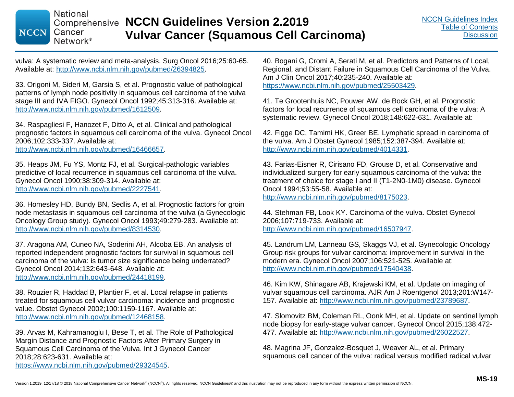vulva: A systematic review and meta-analysis. Surg Oncol 2016;25:60-65. Available at: http://www.ncbi.nlm.nih.gov/pubmed/26394825.

33. Origoni M, Sideri M, Garsia S, et al. Prognostic value of pathological patterns of lymph node positivity in squamous cell carcinoma of the vulva stage III and IVA FIGO. Gynecol Oncol 1992;45:313-316. Available at: http://www.ncbi.nlm.nih.gov/pubmed/1612509.

34. Raspagliesi F, Hanozet F, Ditto A, et al. Clinical and pathological prognostic factors in squamous cell carcinoma of the vulva. Gynecol Oncol 2006;102:333-337. Available at:

http://www.ncbi.nlm.nih.gov/pubmed/16466657.

35. Heaps JM, Fu YS, Montz FJ, et al. Surgical-pathologic variables predictive of local recurrence in squamous cell carcinoma of the vulva. Gynecol Oncol 1990;38:309-314. Available at: http://www.ncbi.nlm.nih.gov/pubmed/2227541.

36. Homesley HD, Bundy BN, Sedlis A, et al. Prognostic factors for groin node metastasis in squamous cell carcinoma of the vulva (a Gynecologic Oncology Group study). Gynecol Oncol 1993;49:279-283. Available at: http://www.ncbi.nlm.nih.gov/pubmed/8314530.

37. Aragona AM, Cuneo NA, Soderini AH, Alcoba EB. An analysis of reported independent prognostic factors for survival in squamous cell carcinoma of the vulva: is tumor size significance being underrated? Gynecol Oncol 2014;132:643-648. Available at: http://www.ncbi.nlm.nih.gov/pubmed/24418199.

38. Rouzier R, Haddad B, Plantier F, et al. Local relapse in patients treated for squamous cell vulvar carcinoma: incidence and prognostic value. Obstet Gynecol 2002;100:1159-1167. Available at: http://www.ncbi.nlm.nih.gov/pubmed/12468158.

39. Arvas M, Kahramanoglu I, Bese T, et al. The Role of Pathological Margin Distance and Prognostic Factors After Primary Surgery in Squamous Cell Carcinoma of the Vulva. Int J Gynecol Cancer 2018;28:623-631. Available at: https://www.ncbi.nlm.nih.gov/pubmed/29324545.

40. Bogani G, Cromi A, Serati M, et al. Predictors and Patterns of Local, Regional, and Distant Failure in Squamous Cell Carcinoma of the Vulva. Am J Clin Oncol 2017;40:235-240. Available at: https://www.ncbi.nlm.nih.gov/pubmed/25503429.

41. Te Grootenhuis NC, Pouwer AW, de Bock GH, et al. Prognostic factors for local recurrence of squamous cell carcinoma of the vulva: A systematic review. Gynecol Oncol 2018;148:622-631. Available at:

42. Figge DC, Tamimi HK, Greer BE. Lymphatic spread in carcinoma of the vulva. Am J Obstet Gynecol 1985;152:387-394. Available at: http://www.ncbi.nlm.nih.gov/pubmed/4014331.

43. Farias-Eisner R, Cirisano FD, Grouse D, et al. Conservative and individualized surgery for early squamous carcinoma of the vulva: the treatment of choice for stage I and II (T1-2N0-1M0) disease. Gynecol Oncol 1994;53:55-58. Available at:

http://www.ncbi.nlm.nih.gov/pubmed/8175023.

44. Stehman FB, Look KY. Carcinoma of the vulva. Obstet Gynecol 2006;107:719-733. Available at: http://www.ncbi.nlm.nih.gov/pubmed/16507947.

45. Landrum LM, Lanneau GS, Skaggs VJ, et al. Gynecologic Oncology Group risk groups for vulvar carcinoma: improvement in survival in the modern era. Gynecol Oncol 2007;106:521-525. Available at: http://www.ncbi.nlm.nih.gov/pubmed/17540438.

46. Kim KW, Shinagare AB, Krajewski KM, et al. Update on imaging of vulvar squamous cell carcinoma. AJR Am J Roentgenol 2013;201:W147- 157. Available at: http://www.ncbi.nlm.nih.gov/pubmed/23789687.

47. Slomovitz BM, Coleman RL, Oonk MH, et al. Update on sentinel lymph node biopsy for early-stage vulvar cancer. Gynecol Oncol 2015;138:472- 477. Available at: http://www.ncbi.nlm.nih.gov/pubmed/26022527.

48. Magrina JF, Gonzalez-Bosquet J, Weaver AL, et al. Primary squamous cell cancer of the vulva: radical versus modified radical vulvar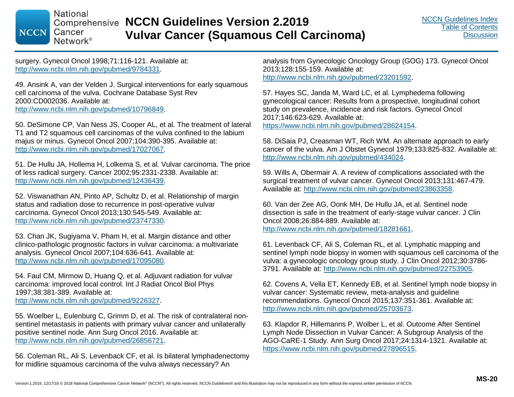**Comprehensive NCCN Guidelines Version 2.2019 Vulvar Cancer (Squamous Cell Carcinoma)**

surgery. Gynecol Oncol 1998;71:116-121. Available at: http://www.ncbi.nlm.nih.gov/pubmed/9784331.

49. Ansink A, van der Velden J. Surgical interventions for early squamous cell carcinoma of the vulva. Cochrane Database Syst Rev 2000:CD002036. Available at: http://www.ncbi.nlm.nih.gov/pubmed/10796849.

50. DeSimone CP, Van Ness JS, Cooper AL, et al. The treatment of lateral T1 and T2 squamous cell carcinomas of the vulva confined to the labium majus or minus. Gynecol Oncol 2007;104:390-395. Available at: http://www.ncbi.nlm.nih.gov/pubmed/17027067.

51. De Hullu JA, Hollema H, Lolkema S, et al. Vulvar carcinoma. The price of less radical surgery. Cancer 2002;95:2331-2338. Available at: http://www.ncbi.nlm.nih.gov/pubmed/12436439.

52. Viswanathan AN, Pinto AP, Schultz D, et al. Relationship of margin status and radiation dose to recurrence in post-operative vulvar carcinoma. Gynecol Oncol 2013;130:545-549. Available at: http://www.ncbi.nlm.nih.gov/pubmed/23747330.

53. Chan JK, Sugiyama V, Pham H, et al. Margin distance and other clinico-pathologic prognostic factors in vulvar carcinoma: a multivariate analysis. Gynecol Oncol 2007;104:636-641. Available at: http://www.ncbi.nlm.nih.gov/pubmed/17095080.

54. Faul CM, Mirmow D, Huang Q, et al. Adjuvant radiation for vulvar carcinoma: improved local control. Int J Radiat Oncol Biol Phys 1997;38:381-389. Available at: http://www.ncbi.nlm.nih.gov/pubmed/9226327.

55. Woelber L, Eulenburg C, Grimm D, et al. The risk of contralateral nonsentinel metastasis in patients with primary vulvar cancer and unilaterally positive sentinel node. Ann Surg Oncol 2016. Available at: http://www.ncbi.nlm.nih.gov/pubmed/26856721.

56. Coleman RL, Ali S, Levenback CF, et al. Is bilateral lymphadenectomy for midline squamous carcinoma of the vulva always necessary? An

analysis from Gynecologic Oncology Group (GOG) 173. Gynecol Oncol 2013;128:155-159. Available at: http://www.ncbi.nlm.nih.gov/pubmed/23201592.

57. Hayes SC, Janda M, Ward LC, et al. Lymphedema following gynecological cancer: Results from a prospective, longitudinal cohort study on prevalence, incidence and risk factors. Gynecol Oncol 2017;146:623-629. Available at: https://www.ncbi.nlm.nih.gov/pubmed/28624154.

58. DiSaia PJ, Creasman WT, Rich WM. An alternate approach to early cancer of the vulva. Am J Obstet Gynecol 1979;133:825-832. Available at: http://www.ncbi.nlm.nih.gov/pubmed/434024.

59. Wills A, Obermair A. A review of complications associated with the surgical treatment of vulvar cancer. Gynecol Oncol 2013;131:467-479. Available at: http://www.ncbi.nlm.nih.gov/pubmed/23863358.

60. Van der Zee AG, Oonk MH, De Hullu JA, et al. Sentinel node dissection is safe in the treatment of early-stage vulvar cancer. J Clin Oncol 2008;26:884-889. Available at: http://www.ncbi.nlm.nih.gov/pubmed/18281661.

61. Levenback CF, Ali S, Coleman RL, et al. Lymphatic mapping and sentinel lymph node biopsy in women with squamous cell carcinoma of the vulva: a gynecologic oncology group study. J Clin Oncol 2012;30:3786- 3791. Available at: http://www.ncbi.nlm.nih.gov/pubmed/22753905.

62. Covens A, Vella ET, Kennedy EB, et al. Sentinel lymph node biopsy in vulvar cancer: Systematic review, meta-analysis and guideline recommendations. Gynecol Oncol 2015;137:351-361. Available at: http://www.ncbi.nlm.nih.gov/pubmed/25703673.

63. Klapdor R, Hillemanns P, Wolber L, et al. Outcome After Sentinel Lymph Node Dissection in Vulvar Cancer: A Subgroup Analysis of the AGO-CaRE-1 Study. Ann Surg Oncol 2017;24:1314-1321. Available at: https://www.ncbi.nlm.nih.gov/pubmed/27896515.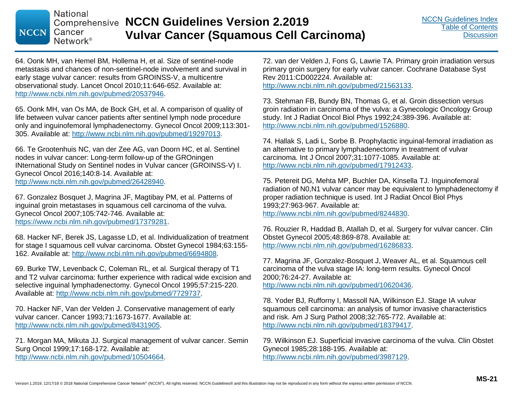64. Oonk MH, van Hemel BM, Hollema H, et al. Size of sentinel-node metastasis and chances of non-sentinel-node involvement and survival in early stage vulvar cancer: results from GROINSS-V, a multicentre observational study. Lancet Oncol 2010;11:646-652. Available at: http://www.ncbi.nlm.nih.gov/pubmed/20537946.

65. Oonk MH, van Os MA, de Bock GH, et al. A comparison of quality of life between vulvar cancer patients after sentinel lymph node procedure only and inguinofemoral lymphadenectomy. Gynecol Oncol 2009;113:301- 305. Available at: http://www.ncbi.nlm.nih.gov/pubmed/19297013.

66. Te Grootenhuis NC, van der Zee AG, van Doorn HC, et al. Sentinel nodes in vulvar cancer: Long-term follow-up of the GROningen INternational Study on Sentinel nodes in Vulvar cancer (GROINSS-V) I. Gynecol Oncol 2016;140:8-14. Available at: http://www.ncbi.nlm.nih.gov/pubmed/26428940.

67. Gonzalez Bosquet J, Magrina JF, Magtibay PM, et al. Patterns of inguinal groin metastases in squamous cell carcinoma of the vulva. Gynecol Oncol 2007;105:742-746. Available at: https://www.ncbi.nlm.nih.gov/pubmed/17379281.

68. Hacker NF, Berek JS, Lagasse LD, et al. Individualization of treatment for stage I squamous cell vulvar carcinoma. Obstet Gynecol 1984;63:155- 162. Available at: http://www.ncbi.nlm.nih.gov/pubmed/6694808.

69. Burke TW, Levenback C, Coleman RL, et al. Surgical therapy of T1 and T2 vulvar carcinoma: further experience with radical wide excision and selective inguinal lymphadenectomy. Gynecol Oncol 1995;57:215-220. Available at: http://www.ncbi.nlm.nih.gov/pubmed/7729737.

70. Hacker NF, Van der Velden J. Conservative management of early vulvar cancer. Cancer 1993;71:1673-1677. Available at: http://www.ncbi.nlm.nih.gov/pubmed/8431905.

71. Morgan MA, Mikuta JJ. Surgical management of vulvar cancer. Semin Surg Oncol 1999;17:168-172. Available at: http://www.ncbi.nlm.nih.gov/pubmed/10504664.

72. van der Velden J, Fons G, Lawrie TA. Primary groin irradiation versus primary groin surgery for early vulvar cancer. Cochrane Database Syst Rev 2011:CD002224. Available at: http://www.ncbi.nlm.nih.gov/pubmed/21563133.

73. Stehman FB, Bundy BN, Thomas G, et al. Groin dissection versus groin radiation in carcinoma of the vulva: a Gynecologic Oncology Group study. Int J Radiat Oncol Biol Phys 1992;24:389-396. Available at: http://www.ncbi.nlm.nih.gov/pubmed/1526880.

74. Hallak S, Ladi L, Sorbe B. Prophylactic inguinal-femoral irradiation as an alternative to primary lymphadenectomy in treatment of vulvar carcinoma. Int J Oncol 2007;31:1077-1085. Available at: http://www.ncbi.nlm.nih.gov/pubmed/17912433.

75. Petereit DG, Mehta MP, Buchler DA, Kinsella TJ. Inguinofemoral radiation of N0,N1 vulvar cancer may be equivalent to lymphadenectomy if proper radiation technique is used. Int J Radiat Oncol Biol Phys 1993;27:963-967. Available at: http://www.ncbi.nlm.nih.gov/pubmed/8244830.

76. Rouzier R, Haddad B, Atallah D, et al. Surgery for vulvar cancer. Clin Obstet Gynecol 2005;48:869-878. Available at: http://www.ncbi.nlm.nih.gov/pubmed/16286833.

77. Magrina JF, Gonzalez-Bosquet J, Weaver AL, et al. Squamous cell carcinoma of the vulva stage IA: long-term results. Gynecol Oncol 2000;76:24-27. Available at: http://www.ncbi.nlm.nih.gov/pubmed/10620436.

78. Yoder BJ, Rufforny I, Massoll NA, Wilkinson EJ. Stage IA vulvar squamous cell carcinoma: an analysis of tumor invasive characteristics and risk. Am J Surg Pathol 2008;32:765-772. Available at: http://www.ncbi.nlm.nih.gov/pubmed/18379417.

79. Wilkinson EJ. Superficial invasive carcinoma of the vulva. Clin Obstet Gynecol 1985;28:188-195. Available at: http://www.ncbi.nlm.nih.gov/pubmed/3987129.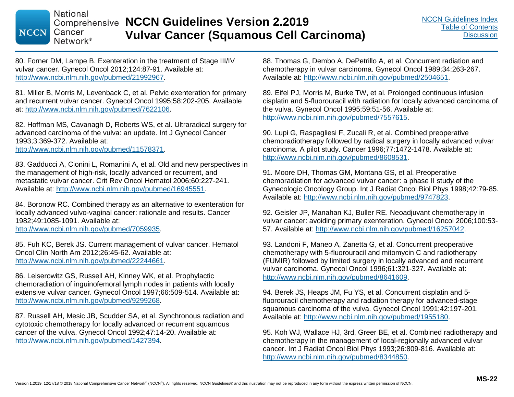80. Forner DM, Lampe B. Exenteration in the treatment of Stage III/IV vulvar cancer. Gynecol Oncol 2012;124:87-91. Available at: http://www.ncbi.nlm.nih.gov/pubmed/21992967.

81. Miller B, Morris M, Levenback C, et al. Pelvic exenteration for primary and recurrent vulvar cancer. Gynecol Oncol 1995;58:202-205. Available at: http://www.ncbi.nlm.nih.gov/pubmed/7622106.

82. Hoffman MS, Cavanagh D, Roberts WS, et al. Ultraradical surgery for advanced carcinoma of the vulva: an update. Int J Gynecol Cancer 1993;3:369-372. Available at: http://www.ncbi.nlm.nih.gov/pubmed/11578371.

83. Gadducci A, Cionini L, Romanini A, et al. Old and new perspectives in the management of high-risk, locally advanced or recurrent, and metastatic vulvar cancer. Crit Rev Oncol Hematol 2006;60:227-241. Available at: http://www.ncbi.nlm.nih.gov/pubmed/16945551.

84. Boronow RC. Combined therapy as an alternative to exenteration for locally advanced vulvo-vaginal cancer: rationale and results. Cancer 1982;49:1085-1091. Available at:

http://www.ncbi.nlm.nih.gov/pubmed/7059935.

85. Fuh KC, Berek JS. Current management of vulvar cancer. Hematol Oncol Clin North Am 2012;26:45-62. Available at: http://www.ncbi.nlm.nih.gov/pubmed/22244661.

86. Leiserowitz GS, Russell AH, Kinney WK, et al. Prophylactic chemoradiation of inguinofemoral lymph nodes in patients with locally extensive vulvar cancer. Gynecol Oncol 1997;66:509-514. Available at: http://www.ncbi.nlm.nih.gov/pubmed/9299268.

87. Russell AH, Mesic JB, Scudder SA, et al. Synchronous radiation and cytotoxic chemotherapy for locally advanced or recurrent squamous cancer of the vulva. Gynecol Oncol 1992;47:14-20. Available at: http://www.ncbi.nlm.nih.gov/pubmed/1427394.

88. Thomas G, Dembo A, DePetrillo A, et al. Concurrent radiation and chemotherapy in vulvar carcinoma. Gynecol Oncol 1989;34:263-267. Available at: http://www.ncbi.nlm.nih.gov/pubmed/2504651.

89. Eifel PJ, Morris M, Burke TW, et al. Prolonged continuous infusion cisplatin and 5-fluorouracil with radiation for locally advanced carcinoma of the vulva. Gynecol Oncol 1995;59:51-56. Available at: http://www.ncbi.nlm.nih.gov/pubmed/7557615.

90. Lupi G, Raspagliesi F, Zucali R, et al. Combined preoperative chemoradiotherapy followed by radical surgery in locally advanced vulvar carcinoma. A pilot study. Cancer 1996;77:1472-1478. Available at: http://www.ncbi.nlm.nih.gov/pubmed/8608531.

91. Moore DH, Thomas GM, Montana GS, et al. Preoperative chemoradiation for advanced vulvar cancer: a phase II study of the Gynecologic Oncology Group. Int J Radiat Oncol Biol Phys 1998;42:79-85. Available at: http://www.ncbi.nlm.nih.gov/pubmed/9747823.

92. Geisler JP, Manahan KJ, Buller RE. Neoadjuvant chemotherapy in vulvar cancer: avoiding primary exenteration. Gynecol Oncol 2006;100:53- 57. Available at: http://www.ncbi.nlm.nih.gov/pubmed/16257042.

93. Landoni F, Maneo A, Zanetta G, et al. Concurrent preoperative chemotherapy with 5-fluorouracil and mitomycin C and radiotherapy (FUMIR) followed by limited surgery in locally advanced and recurrent vulvar carcinoma. Gynecol Oncol 1996;61:321-327. Available at: http://www.ncbi.nlm.nih.gov/pubmed/8641609.

94. Berek JS, Heaps JM, Fu YS, et al. Concurrent cisplatin and 5 fluorouracil chemotherapy and radiation therapy for advanced-stage squamous carcinoma of the vulva. Gynecol Oncol 1991;42:197-201. Available at: http://www.ncbi.nlm.nih.gov/pubmed/1955180.

95. Koh WJ, Wallace HJ, 3rd, Greer BE, et al. Combined radiotherapy and chemotherapy in the management of local-regionally advanced vulvar cancer. Int J Radiat Oncol Biol Phys 1993;26:809-816. Available at: http://www.ncbi.nlm.nih.gov/pubmed/8344850.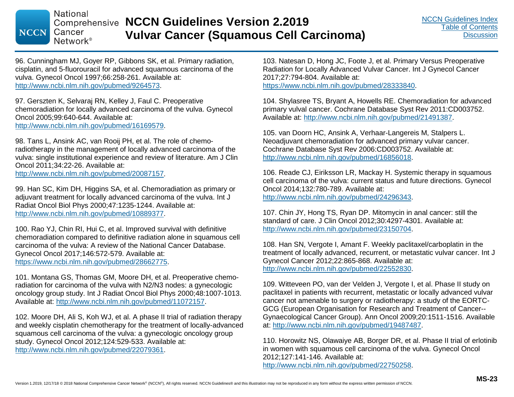# **Comprehensive NCCN Guidelines Version 2.2019 Vulvar Cancer (Squamous Cell Carcinoma)**

96. Cunningham MJ, Goyer RP, Gibbons SK, et al. Primary radiation, cisplatin, and 5-fluorouracil for advanced squamous carcinoma of the vulva. Gynecol Oncol 1997;66:258-261. Available at: http://www.ncbi.nlm.nih.gov/pubmed/9264573.

97. Gerszten K, Selvaraj RN, Kelley J, Faul C. Preoperative chemoradiation for locally advanced carcinoma of the vulva. Gynecol Oncol 2005;99:640-644. Available at: http://www.ncbi.nlm.nih.gov/pubmed/16169579.

98. Tans L, Ansink AC, van Rooij PH, et al. The role of chemoradiotherapy in the management of locally advanced carcinoma of the vulva: single institutional experience and review of literature. Am J Clin Oncol 2011;34:22-26. Available at: http://www.ncbi.nlm.nih.gov/pubmed/20087157.

99. Han SC, Kim DH, Higgins SA, et al. Chemoradiation as primary or adjuvant treatment for locally advanced carcinoma of the vulva. Int J Radiat Oncol Biol Phys 2000;47:1235-1244. Available at: http://www.ncbi.nlm.nih.gov/pubmed/10889377.

100. Rao YJ, Chin RI, Hui C, et al. Improved survival with definitive chemoradiation compared to definitive radiation alone in squamous cell carcinoma of the vulva: A review of the National Cancer Database. Gynecol Oncol 2017;146:572-579. Available at: https://www.ncbi.nlm.nih.gov/pubmed/28662775.

101. Montana GS, Thomas GM, Moore DH, et al. Preoperative chemoradiation for carcinoma of the vulva with N2/N3 nodes: a gynecologic oncology group study. Int J Radiat Oncol Biol Phys 2000;48:1007-1013. Available at: http://www.ncbi.nlm.nih.gov/pubmed/11072157.

102. Moore DH, Ali S, Koh WJ, et al. A phase II trial of radiation therapy and weekly cisplatin chemotherapy for the treatment of locally-advanced squamous cell carcinoma of the vulva: a gynecologic oncology group study. Gynecol Oncol 2012;124:529-533. Available at: http://www.ncbi.nlm.nih.gov/pubmed/22079361.

103. Natesan D, Hong JC, Foote J, et al. Primary Versus Preoperative Radiation for Locally Advanced Vulvar Cancer. Int J Gynecol Cancer 2017;27:794-804. Available at: https://www.ncbi.nlm.nih.gov/pubmed/28333840.

104. Shylasree TS, Bryant A, Howells RE. Chemoradiation for advanced primary vulval cancer. Cochrane Database Syst Rev 2011:CD003752. Available at: http://www.ncbi.nlm.nih.gov/pubmed/21491387.

105. van Doorn HC, Ansink A, Verhaar-Langereis M, Stalpers L. Neoadjuvant chemoradiation for advanced primary vulvar cancer. Cochrane Database Syst Rev 2006:CD003752. Available at: http://www.ncbi.nlm.nih.gov/pubmed/16856018.

106. Reade CJ, Eiriksson LR, Mackay H. Systemic therapy in squamous cell carcinoma of the vulva: current status and future directions. Gynecol Oncol 2014;132:780-789. Available at: http://www.ncbi.nlm.nih.gov/pubmed/24296343.

107. Chin JY, Hong TS, Ryan DP. Mitomycin in anal cancer: still the standard of care. J Clin Oncol 2012;30:4297-4301. Available at: http://www.ncbi.nlm.nih.gov/pubmed/23150704.

108. Han SN, Vergote I, Amant F. Weekly paclitaxel/carboplatin in the treatment of locally advanced, recurrent, or metastatic vulvar cancer. Int J Gynecol Cancer 2012;22:865-868. Available at: http://www.ncbi.nlm.nih.gov/pubmed/22552830.

109. Witteveen PO, van der Velden J, Vergote I, et al. Phase II study on paclitaxel in patients with recurrent, metastatic or locally advanced vulvar cancer not amenable to surgery or radiotherapy: a study of the EORTC-GCG (European Organisation for Research and Treatment of Cancer-- Gynaecological Cancer Group). Ann Oncol 2009;20:1511-1516. Available at: http://www.ncbi.nlm.nih.gov/pubmed/19487487.

110. Horowitz NS, Olawaiye AB, Borger DR, et al. Phase II trial of erlotinib in women with squamous cell carcinoma of the vulva. Gynecol Oncol 2012;127:141-146. Available at: http://www.ncbi.nlm.nih.gov/pubmed/22750258.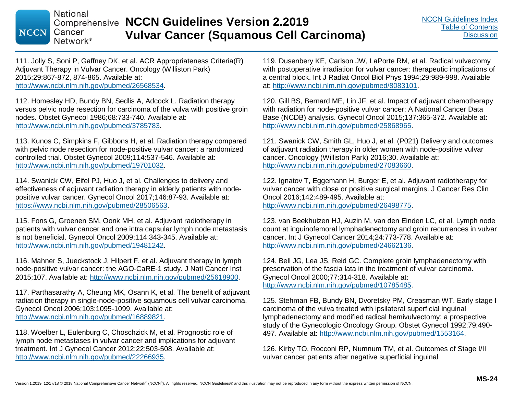111. Jolly S, Soni P, Gaffney DK, et al. ACR Appropriateness Criteria(R) Adjuvant Therapy in Vulvar Cancer. Oncology (Williston Park) 2015;29:867-872, 874-865. Available at: http://www.ncbi.nlm.nih.gov/pubmed/26568534.

112. Homesley HD, Bundy BN, Sedlis A, Adcock L. Radiation therapy versus pelvic node resection for carcinoma of the vulva with positive groin nodes. Obstet Gynecol 1986;68:733-740. Available at: http://www.ncbi.nlm.nih.gov/pubmed/3785783.

113. Kunos C, Simpkins F, Gibbons H, et al. Radiation therapy compared with pelvic node resection for node-positive vulvar cancer: a randomized controlled trial. Obstet Gynecol 2009;114:537-546. Available at: http://www.ncbi.nlm.nih.gov/pubmed/19701032.

114. Swanick CW, Eifel PJ, Huo J, et al. Challenges to delivery and effectiveness of adjuvant radiation therapy in elderly patients with nodepositive vulvar cancer. Gynecol Oncol 2017;146:87-93. Available at: https://www.ncbi.nlm.nih.gov/pubmed/28506563.

115. Fons G, Groenen SM, Oonk MH, et al. Adjuvant radiotherapy in patients with vulvar cancer and one intra capsular lymph node metastasis is not beneficial. Gynecol Oncol 2009;114:343-345. Available at: http://www.ncbi.nlm.nih.gov/pubmed/19481242.

116. Mahner S, Jueckstock J, Hilpert F, et al. Adjuvant therapy in lymph node-positive vulvar cancer: the AGO-CaRE-1 study. J Natl Cancer Inst 2015;107. Available at: http://www.ncbi.nlm.nih.gov/pubmed/25618900.

117. Parthasarathy A, Cheung MK, Osann K, et al. The benefit of adjuvant radiation therapy in single-node-positive squamous cell vulvar carcinoma. Gynecol Oncol 2006;103:1095-1099. Available at: http://www.ncbi.nlm.nih.gov/pubmed/16889821.

118. Woelber L, Eulenburg C, Choschzick M, et al. Prognostic role of lymph node metastases in vulvar cancer and implications for adjuvant treatment. Int J Gynecol Cancer 2012;22:503-508. Available at: http://www.ncbi.nlm.nih.gov/pubmed/22266935.

119. Dusenbery KE, Carlson JW, LaPorte RM, et al. Radical vulvectomy with postoperative irradiation for vulvar cancer: therapeutic implications of a central block. Int J Radiat Oncol Biol Phys 1994;29:989-998. Available at: http://www.ncbi.nlm.nih.gov/pubmed/8083101.

120. Gill BS, Bernard ME, Lin JF, et al. Impact of adjuvant chemotherapy with radiation for node-positive vulvar cancer: A National Cancer Data Base (NCDB) analysis. Gynecol Oncol 2015;137:365-372. Available at: http://www.ncbi.nlm.nih.gov/pubmed/25868965.

121. Swanick CW, Smith GL, Huo J, et al. (P021) Delivery and outcomes of adjuvant radiation therapy in older women with node-positive vulvar cancer. Oncology (Williston Park) 2016;30. Available at: http://www.ncbi.nlm.nih.gov/pubmed/27083660.

122. Ignatov T, Eggemann H, Burger E, et al. Adjuvant radiotherapy for vulvar cancer with close or positive surgical margins. J Cancer Res Clin Oncol 2016;142:489-495. Available at: http://www.ncbi.nlm.nih.gov/pubmed/26498775.

123. van Beekhuizen HJ, Auzin M, van den Einden LC, et al. Lymph node count at inguinofemoral lymphadenectomy and groin recurrences in vulvar cancer. Int J Gynecol Cancer 2014;24:773-778. Available at: http://www.ncbi.nlm.nih.gov/pubmed/24662136.

124. Bell JG, Lea JS, Reid GC. Complete groin lymphadenectomy with preservation of the fascia lata in the treatment of vulvar carcinoma. Gynecol Oncol 2000;77:314-318. Available at: http://www.ncbi.nlm.nih.gov/pubmed/10785485.

125. Stehman FB, Bundy BN, Dvoretsky PM, Creasman WT. Early stage I carcinoma of the vulva treated with ipsilateral superficial inguinal lymphadenectomy and modified radical hemivulvectomy: a prospective study of the Gynecologic Oncology Group. Obstet Gynecol 1992;79:490- 497. Available at: http://www.ncbi.nlm.nih.gov/pubmed/1553164.

126. Kirby TO, Rocconi RP, Numnum TM, et al. Outcomes of Stage I/II vulvar cancer patients after negative superficial inguinal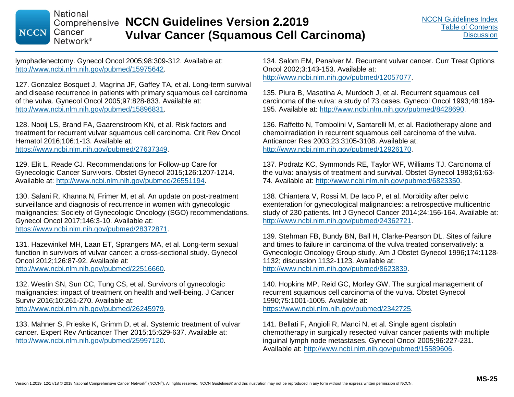lymphadenectomy. Gynecol Oncol 2005;98:309-312. Available at: http://www.ncbi.nlm.nih.gov/pubmed/15975642.

127. Gonzalez Bosquet J, Magrina JF, Gaffey TA, et al. Long-term survival and disease recurrence in patients with primary squamous cell carcinoma of the vulva. Gynecol Oncol 2005;97:828-833. Available at: http://www.ncbi.nlm.nih.gov/pubmed/15896831.

128. Nooij LS, Brand FA, Gaarenstroom KN, et al. Risk factors and treatment for recurrent vulvar squamous cell carcinoma. Crit Rev Oncol Hematol 2016;106:1-13. Available at: https://www.ncbi.nlm.nih.gov/pubmed/27637349.

129. Elit L, Reade CJ. Recommendations for Follow-up Care for Gynecologic Cancer Survivors. Obstet Gynecol 2015;126:1207-1214. Available at: http://www.ncbi.nlm.nih.gov/pubmed/26551194.

130. Salani R, Khanna N, Frimer M, et al. An update on post-treatment surveillance and diagnosis of recurrence in women with gynecologic malignancies: Society of Gynecologic Oncology (SGO) recommendations. Gynecol Oncol 2017;146:3-10. Available at: https://www.ncbi.nlm.nih.gov/pubmed/28372871.

131. Hazewinkel MH, Laan ET, Sprangers MA, et al. Long-term sexual function in survivors of vulvar cancer: a cross-sectional study. Gynecol Oncol 2012;126:87-92. Available at:

http://www.ncbi.nlm.nih.gov/pubmed/22516660.

132. Westin SN, Sun CC, Tung CS, et al. Survivors of gynecologic malignancies: impact of treatment on health and well-being. J Cancer Surviv 2016;10:261-270. Available at: http://www.ncbi.nlm.nih.gov/pubmed/26245979.

133. Mahner S, Prieske K, Grimm D, et al. Systemic treatment of vulvar cancer. Expert Rev Anticancer Ther 2015;15:629-637. Available at: http://www.ncbi.nlm.nih.gov/pubmed/25997120.

134. Salom EM, Penalver M. Recurrent vulvar cancer. Curr Treat Options Oncol 2002;3:143-153. Available at: http://www.ncbi.nlm.nih.gov/pubmed/12057077.

135. Piura B, Masotina A, Murdoch J, et al. Recurrent squamous cell carcinoma of the vulva: a study of 73 cases. Gynecol Oncol 1993;48:189- 195. Available at: http://www.ncbi.nlm.nih.gov/pubmed/8428690.

136. Raffetto N, Tombolini V, Santarelli M, et al. Radiotherapy alone and chemoirradiation in recurrent squamous cell carcinoma of the vulva. Anticancer Res 2003;23:3105-3108. Available at: http://www.ncbi.nlm.nih.gov/pubmed/12926170.

137. Podratz KC, Symmonds RE, Taylor WF, Williams TJ. Carcinoma of the vulva: analysis of treatment and survival. Obstet Gynecol 1983;61:63- 74. Available at: http://www.ncbi.nlm.nih.gov/pubmed/6823350.

138. Chiantera V, Rossi M, De Iaco P, et al. Morbidity after pelvic exenteration for gynecological malignancies: a retrospective multicentric study of 230 patients. Int J Gynecol Cancer 2014;24:156-164. Available at: http://www.ncbi.nlm.nih.gov/pubmed/24362721.

139. Stehman FB, Bundy BN, Ball H, Clarke-Pearson DL. Sites of failure and times to failure in carcinoma of the vulva treated conservatively: a Gynecologic Oncology Group study. Am J Obstet Gynecol 1996;174:1128- 1132; discussion 1132-1123. Available at: http://www.ncbi.nlm.nih.gov/pubmed/8623839.

140. Hopkins MP, Reid GC, Morley GW. The surgical management of recurrent squamous cell carcinoma of the vulva. Obstet Gynecol 1990;75:1001-1005. Available at: https://www.ncbi.nlm.nih.gov/pubmed/2342725.

141. Bellati F, Angioli R, Manci N, et al. Single agent cisplatin chemotherapy in surgically resected vulvar cancer patients with multiple inguinal lymph node metastases. Gynecol Oncol 2005;96:227-231. Available at: http://www.ncbi.nlm.nih.gov/pubmed/15589606.